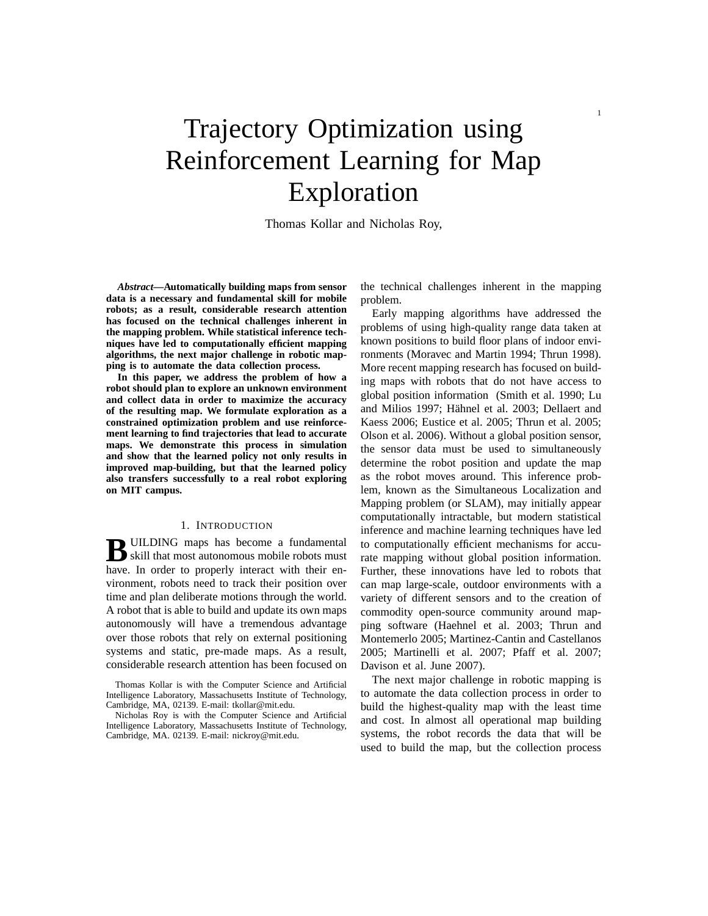# Trajectory Optimization using Reinforcement Learning for Map Exploration

Thomas Kollar and Nicholas Roy,

*Abstract***—Automatically building maps from sensor data is a necessary and fundamental skill for mobile robots; as a result, considerable research attention has focused on the technical challenges inherent in the mapping problem. While statistical inference techniques have led to computationally efficient mapping algorithms, the next major challenge in robotic mapping is to automate the data collection process.**

**In this paper, we address the problem of how a robot should plan to explore an unknown environment and collect data in order to maximize the accuracy of the resulting map. We formulate exploration as a constrained optimization problem and use reinforcement learning to find trajectories that lead to accurate maps. We demonstrate this process in simulation and show that the learned policy not only results in improved map-building, but that the learned policy also transfers successfully to a real robot exploring on MIT campus.**

### 1. INTRODUCTION

**B** UILDING maps has become a fundamental<br>
skill that most autonomous mobile robots must skill that most autonomous mobile robots must have. In order to properly interact with their environment, robots need to track their position over time and plan deliberate motions through the world. A robot that is able to build and update its own maps autonomously will have a tremendous advantage over those robots that rely on external positioning systems and static, pre-made maps. As a result, considerable research attention has been focused on the technical challenges inherent in the mapping problem.

Early mapping algorithms have addressed the problems of using high-quality range data taken at known positions to build floor plans of indoor environments (Moravec and Martin 1994; Thrun 1998). More recent mapping research has focused on building maps with robots that do not have access to global position information (Smith et al. 1990; Lu and Milios 1997; Hähnel et al. 2003; Dellaert and Kaess 2006; Eustice et al. 2005; Thrun et al. 2005; Olson et al. 2006). Without a global position sensor, the sensor data must be used to simultaneously determine the robot position and update the map as the robot moves around. This inference problem, known as the Simultaneous Localization and Mapping problem (or SLAM), may initially appear computationally intractable, but modern statistical inference and machine learning techniques have led to computationally efficient mechanisms for accurate mapping without global position information. Further, these innovations have led to robots that can map large-scale, outdoor environments with a variety of different sensors and to the creation of commodity open-source community around mapping software (Haehnel et al. 2003; Thrun and Montemerlo 2005; Martinez-Cantin and Castellanos 2005; Martinelli et al. 2007; Pfaff et al. 2007; Davison et al. June 2007).

The next major challenge in robotic mapping is to automate the data collection process in order to build the highest-quality map with the least time and cost. In almost all operational map building systems, the robot records the data that will be used to build the map, but the collection process

Thomas Kollar is with the Computer Science and Artificial Intelligence Laboratory, Massachusetts Institute of Technology, Cambridge, MA, 02139. E-mail: tkollar@mit.edu.

Nicholas Roy is with the Computer Science and Artificial Intelligence Laboratory, Massachusetts Institute of Technology, Cambridge, MA. 02139. E-mail: nickroy@mit.edu.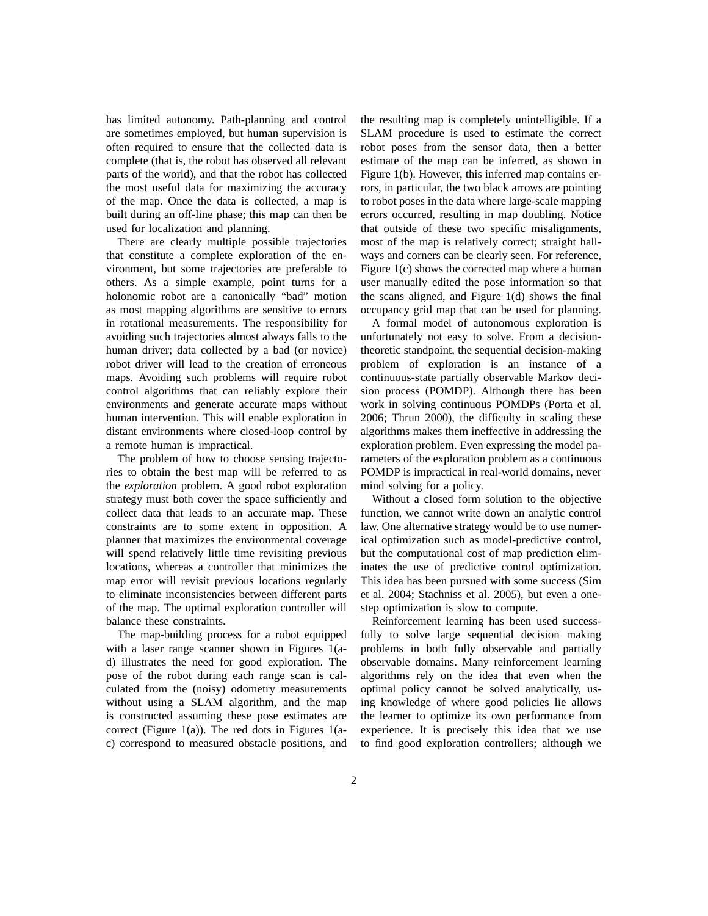has limited autonomy. Path-planning and control are sometimes employed, but human supervision is often required to ensure that the collected data is complete (that is, the robot has observed all relevant parts of the world), and that the robot has collected the most useful data for maximizing the accuracy of the map. Once the data is collected, a map is built during an off-line phase; this map can then be used for localization and planning.

There are clearly multiple possible trajectories that constitute a complete exploration of the environment, but some trajectories are preferable to others. As a simple example, point turns for a holonomic robot are a canonically "bad" motion as most mapping algorithms are sensitive to errors in rotational measurements. The responsibility for avoiding such trajectories almost always falls to the human driver; data collected by a bad (or novice) robot driver will lead to the creation of erroneous maps. Avoiding such problems will require robot control algorithms that can reliably explore their environments and generate accurate maps without human intervention. This will enable exploration in distant environments where closed-loop control by a remote human is impractical.

The problem of how to choose sensing trajectories to obtain the best map will be referred to as the *exploration* problem. A good robot exploration strategy must both cover the space sufficiently and collect data that leads to an accurate map. These constraints are to some extent in opposition. A planner that maximizes the environmental coverage will spend relatively little time revisiting previous locations, whereas a controller that minimizes the map error will revisit previous locations regularly to eliminate inconsistencies between different parts of the map. The optimal exploration controller will balance these constraints.

The map-building process for a robot equipped with a laser range scanner shown in Figures 1(ad) illustrates the need for good exploration. The pose of the robot during each range scan is calculated from the (noisy) odometry measurements without using a SLAM algorithm, and the map is constructed assuming these pose estimates are correct (Figure 1(a)). The red dots in Figures 1(ac) correspond to measured obstacle positions, and the resulting map is completely unintelligible. If a SLAM procedure is used to estimate the correct robot poses from the sensor data, then a better estimate of the map can be inferred, as shown in Figure 1(b). However, this inferred map contains errors, in particular, the two black arrows are pointing to robot poses in the data where large-scale mapping errors occurred, resulting in map doubling. Notice that outside of these two specific misalignments, most of the map is relatively correct; straight hallways and corners can be clearly seen. For reference, Figure 1(c) shows the corrected map where a human user manually edited the pose information so that the scans aligned, and Figure 1(d) shows the final occupancy grid map that can be used for planning.

A formal model of autonomous exploration is unfortunately not easy to solve. From a decisiontheoretic standpoint, the sequential decision-making problem of exploration is an instance of a continuous-state partially observable Markov decision process (POMDP). Although there has been work in solving continuous POMDPs (Porta et al. 2006; Thrun 2000), the difficulty in scaling these algorithms makes them ineffective in addressing the exploration problem. Even expressing the model parameters of the exploration problem as a continuous POMDP is impractical in real-world domains, never mind solving for a policy.

Without a closed form solution to the objective function, we cannot write down an analytic control law. One alternative strategy would be to use numerical optimization such as model-predictive control, but the computational cost of map prediction eliminates the use of predictive control optimization. This idea has been pursued with some success (Sim et al. 2004; Stachniss et al. 2005), but even a onestep optimization is slow to compute.

Reinforcement learning has been used successfully to solve large sequential decision making problems in both fully observable and partially observable domains. Many reinforcement learning algorithms rely on the idea that even when the optimal policy cannot be solved analytically, using knowledge of where good policies lie allows the learner to optimize its own performance from experience. It is precisely this idea that we use to find good exploration controllers; although we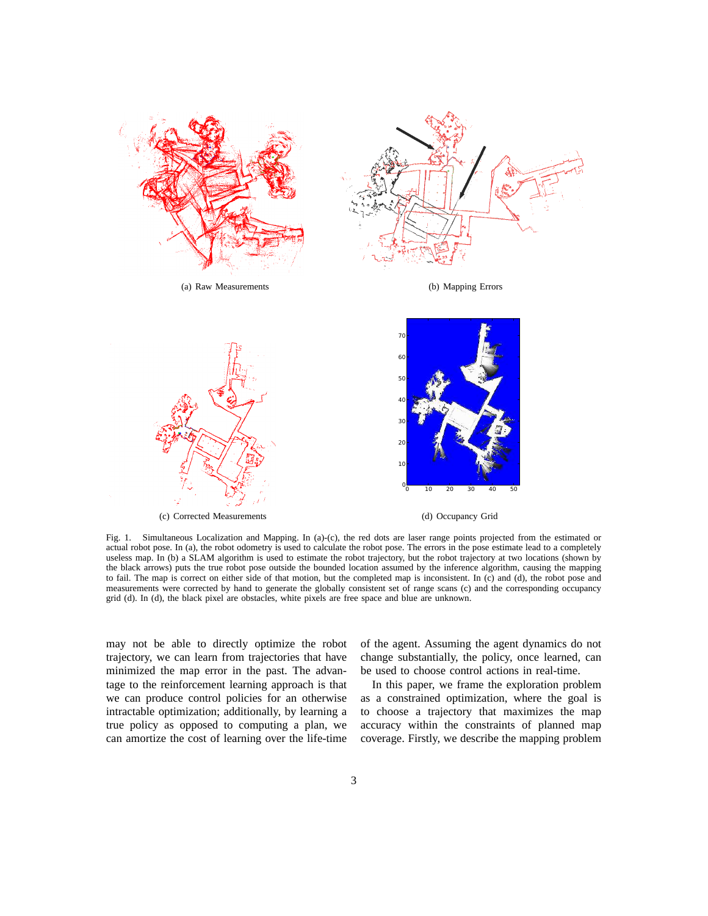

Fig. 1. Simultaneous Localization and Mapping. In (a)-(c), the red dots are laser range points projected from the estimated or actual robot pose. In (a), the robot odometry is used to calculate the robot pose. The errors in the pose estimate lead to a completely useless map. In (b) a SLAM algorithm is used to estimate the robot trajectory, but the robot trajectory at two locations (shown by the black arrows) puts the true robot pose outside the bounded location assumed by the inference algorithm, causing the mapping to fail. The map is correct on either side of that motion, but the completed map is inconsistent. In (c) and (d), the robot pose and measurements were corrected by hand to generate the globally consistent set of range scans (c) and the corresponding occupancy grid (d). In (d), the black pixel are obstacles, white pixels are free space and blue are unknown.

may not be able to directly optimize the robot trajectory, we can learn from trajectories that have minimized the map error in the past. The advantage to the reinforcement learning approach is that we can produce control policies for an otherwise intractable optimization; additionally, by learning a true policy as opposed to computing a plan, we can amortize the cost of learning over the life-time of the agent. Assuming the agent dynamics do not change substantially, the policy, once learned, can be used to choose control actions in real-time.

In this paper, we frame the exploration problem as a constrained optimization, where the goal is to choose a trajectory that maximizes the map accuracy within the constraints of planned map coverage. Firstly, we describe the mapping problem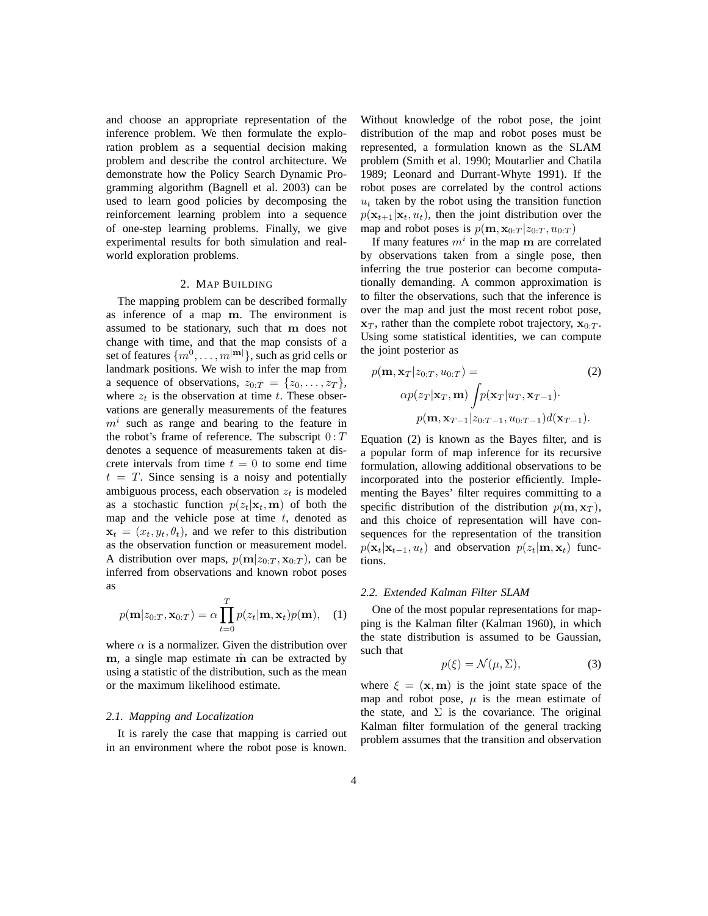and choose an appropriate representation of the inference problem. We then formulate the exploration problem as a sequential decision making problem and describe the control architecture. We demonstrate how the Policy Search Dynamic Programming algorithm (Bagnell et al. 2003) can be used to learn good policies by decomposing the reinforcement learning problem into a sequence of one-step learning problems. Finally, we give experimental results for both simulation and realworld exploration problems.

### 2. MAP BUILDING

The mapping problem can be described formally as inference of a map m. The environment is assumed to be stationary, such that m does not change with time, and that the map consists of a set of features  $\{m^0, \ldots, m^{|m|}\}$ , such as grid cells or landmark positions. We wish to infer the map from a sequence of observations,  $z_{0:T} = \{z_0, \ldots, z_T\},\$ where  $z_t$  is the observation at time t. These observations are generally measurements of the features  $m<sup>i</sup>$  such as range and bearing to the feature in the robot's frame of reference. The subscript  $0:T$ denotes a sequence of measurements taken at discrete intervals from time  $t = 0$  to some end time  $t = T$ . Since sensing is a noisy and potentially ambiguous process, each observation  $z_t$  is modeled as a stochastic function  $p(z_t|\mathbf{x}_t, \mathbf{m})$  of both the map and the vehicle pose at time  $t$ , denoted as  $\mathbf{x}_t = (x_t, y_t, \theta_t)$ , and we refer to this distribution as the observation function or measurement model. A distribution over maps,  $p(\mathbf{m}|z_{0:T}, \mathbf{x}_{0:T})$ , can be inferred from observations and known robot poses as

$$
p(\mathbf{m}|z_{0:T}, \mathbf{x}_{0:T}) = \alpha \prod_{t=0}^{T} p(z_t | \mathbf{m}, \mathbf{x}_t) p(\mathbf{m}), \quad (1)
$$

where  $\alpha$  is a normalizer. Given the distribution over m, a single map estimate  $\hat{m}$  can be extracted by using a statistic of the distribution, such as the mean or the maximum likelihood estimate.

# *2.1. Mapping and Localization*

It is rarely the case that mapping is carried out in an environment where the robot pose is known. Without knowledge of the robot pose, the joint distribution of the map and robot poses must be represented, a formulation known as the SLAM problem (Smith et al. 1990; Moutarlier and Chatila 1989; Leonard and Durrant-Whyte 1991). If the robot poses are correlated by the control actions  $u_t$  taken by the robot using the transition function  $p(\mathbf{x}_{t+1}|\mathbf{x}_t, u_t)$ , then the joint distribution over the map and robot poses is  $p(\mathbf{m}, \mathbf{x}_{0:T} | z_{0:T}, u_{0:T})$ 

If many features  $m^i$  in the map m are correlated by observations taken from a single pose, then inferring the true posterior can become computationally demanding. A common approximation is to filter the observations, such that the inference is over the map and just the most recent robot pose,  $x_T$ , rather than the complete robot trajectory,  $x_0$ . Using some statistical identities, we can compute the joint posterior as

$$
p(\mathbf{m}, \mathbf{x}_T | z_{0:T}, u_{0:T}) = \qquad (2)
$$

$$
\alpha p(z_T | \mathbf{x}_T, \mathbf{m}) \int p(\mathbf{x}_T | u_T, \mathbf{x}_{T-1}) \cdot
$$

$$
p(\mathbf{m}, \mathbf{x}_{T-1} | z_{0:T-1}, u_{0:T-1}) d(\mathbf{x}_{T-1}).
$$

Equation (2) is known as the Bayes filter, and is a popular form of map inference for its recursive formulation, allowing additional observations to be incorporated into the posterior efficiently. Implementing the Bayes' filter requires committing to a specific distribution of the distribution  $p(\mathbf{m}, \mathbf{x}_T)$ , and this choice of representation will have consequences for the representation of the transition  $p(\mathbf{x}_t|\mathbf{x}_{t-1}, u_t)$  and observation  $p(z_t|\mathbf{m}, \mathbf{x}_t)$  functions.

#### *2.2. Extended Kalman Filter SLAM*

One of the most popular representations for mapping is the Kalman filter (Kalman 1960), in which the state distribution is assumed to be Gaussian, such that

$$
p(\xi) = \mathcal{N}(\mu, \Sigma),\tag{3}
$$

where  $\xi = (\mathbf{x}, \mathbf{m})$  is the joint state space of the map and robot pose,  $\mu$  is the mean estimate of the state, and  $\Sigma$  is the covariance. The original Kalman filter formulation of the general tracking problem assumes that the transition and observation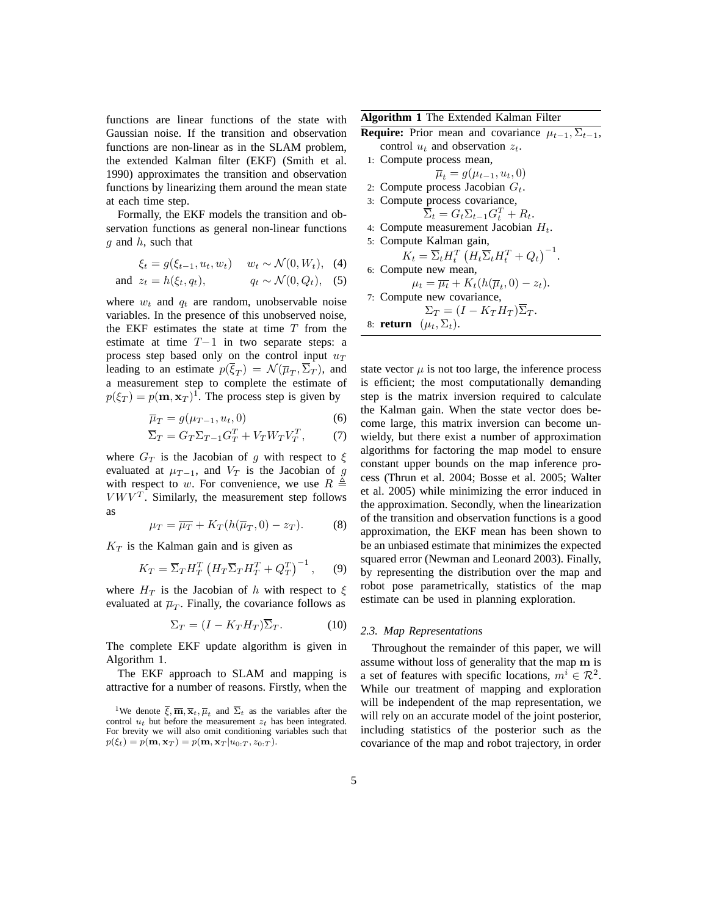functions are linear functions of the state with Gaussian noise. If the transition and observation functions are non-linear as in the SLAM problem, the extended Kalman filter (EKF) (Smith et al. 1990) approximates the transition and observation functions by linearizing them around the mean state at each time step.

Formally, the EKF models the transition and observation functions as general non-linear functions  $g$  and  $h$ , such that

$$
\xi_t = g(\xi_{t-1}, u_t, w_t) \quad w_t \sim \mathcal{N}(0, W_t), \tag{4}
$$
  
and  $z_t = h(\xi_t, q_t), \qquad q_t \sim \mathcal{N}(0, Q_t), \tag{5}$ 

where  $w_t$  and  $q_t$  are random, unobservable noise variables. In the presence of this unobserved noise, the EKF estimates the state at time  $T$  from the estimate at time T−1 in two separate steps: a process step based only on the control input  $u_T$ leading to an estimate  $p(\xi_T) = \mathcal{N}(\overline{\mu}_T, \Sigma_T)$ , and a measurement step to complete the estimate of  $p(\xi_T) = p(\mathbf{m}, \mathbf{x}_T)^T$ . The process step is given by

$$
\overline{\mu}_T = g(\mu_{T-1}, u_t, 0) \tag{6}
$$

$$
\overline{\Sigma}_T = G_T \Sigma_{T-1} G_T^T + V_T W_T V_T^T, \tag{7}
$$

where  $G_T$  is the Jacobian of g with respect to  $\xi$ evaluated at  $\mu_{T-1}$ , and  $V_T$  is the Jacobian of g with respect to w. For convenience, we use  $R \triangleq$  $V W V<sup>T</sup>$ . Similarly, the measurement step follows as

$$
\mu_T = \overline{\mu}_T + K_T(h(\overline{\mu}_T, 0) - z_T). \tag{8}
$$

 $K_T$  is the Kalman gain and is given as

$$
K_T = \overline{\Sigma}_T H_T^T \left( H_T \overline{\Sigma}_T H_T^T + Q_T^T \right)^{-1}, \qquad (9)
$$

where  $H_T$  is the Jacobian of h with respect to  $\xi$ evaluated at  $\overline{\mu}_T$ . Finally, the covariance follows as

$$
\Sigma_T = (I - K_T H_T) \overline{\Sigma}_T. \tag{10}
$$

The complete EKF update algorithm is given in Algorithm 1.

The EKF approach to SLAM and mapping is attractive for a number of reasons. Firstly, when the **Algorithm 1** The Extended Kalman Filter

**Require:** Prior mean and covariance  $\mu_{t-1}, \Sigma_{t-1}$ , control  $u_t$  and observation  $z_t$ .

1: Compute process mean,

 $\overline{\mu}_t = g(\mu_{t-1}, u_t, 0)$ 

- 2: Compute process Jacobian  $G_t$ .
- 3: Compute process covariance,

$$
\overline{\Sigma}_t = G_t \Sigma_{t-1} G_t^T + R_t.
$$

- 4: Compute measurement Jacobian  $H_t$ .
- 5: Compute Kalman gain,

 $K_t = \overline{\Sigma}_t H_t^T \left( H_t \overline{\Sigma}_t H_t^T + Q_t \right)^{-1}.$ 6: Compute new mean,

$$
\mu_t = \overline{\mu_t} + K_t(h(\overline{\mu}_t, 0) - z_t).
$$
  
7: Compute new covariance,

 $\Sigma_T = (I - K_T H_T) \overline{\Sigma}_T.$ 

8: **return**  $(\mu_t, \Sigma_t)$ .

state vector  $\mu$  is not too large, the inference process is efficient; the most computationally demanding step is the matrix inversion required to calculate the Kalman gain. When the state vector does become large, this matrix inversion can become unwieldy, but there exist a number of approximation algorithms for factoring the map model to ensure constant upper bounds on the map inference process (Thrun et al. 2004; Bosse et al. 2005; Walter et al. 2005) while minimizing the error induced in the approximation. Secondly, when the linearization of the transition and observation functions is a good approximation, the EKF mean has been shown to be an unbiased estimate that minimizes the expected squared error (Newman and Leonard 2003). Finally, by representing the distribution over the map and robot pose parametrically, statistics of the map estimate can be used in planning exploration.

#### *2.3. Map Representations*

Throughout the remainder of this paper, we will assume without loss of generality that the map m is a set of features with specific locations,  $m^i \in \mathcal{R}^2$ . While our treatment of mapping and exploration will be independent of the map representation, we will rely on an accurate model of the joint posterior, including statistics of the posterior such as the covariance of the map and robot trajectory, in order

<sup>&</sup>lt;sup>1</sup>We denote  $\overline{\xi}$ ,  $\overline{\mathbf{m}}$ ,  $\overline{\mathbf{x}}_t$ ,  $\overline{\mu}_t$  and  $\overline{\Sigma}_t$  as the variables after the control  $u_t$  but before the measurement  $z_t$  has been integrated. For brevity we will also omit conditioning variables such that  $p(\xi_t) = p(\mathbf{m}, \mathbf{x}_T) = p(\mathbf{m}, \mathbf{x}_T | u_{0:T}, z_{0:T}).$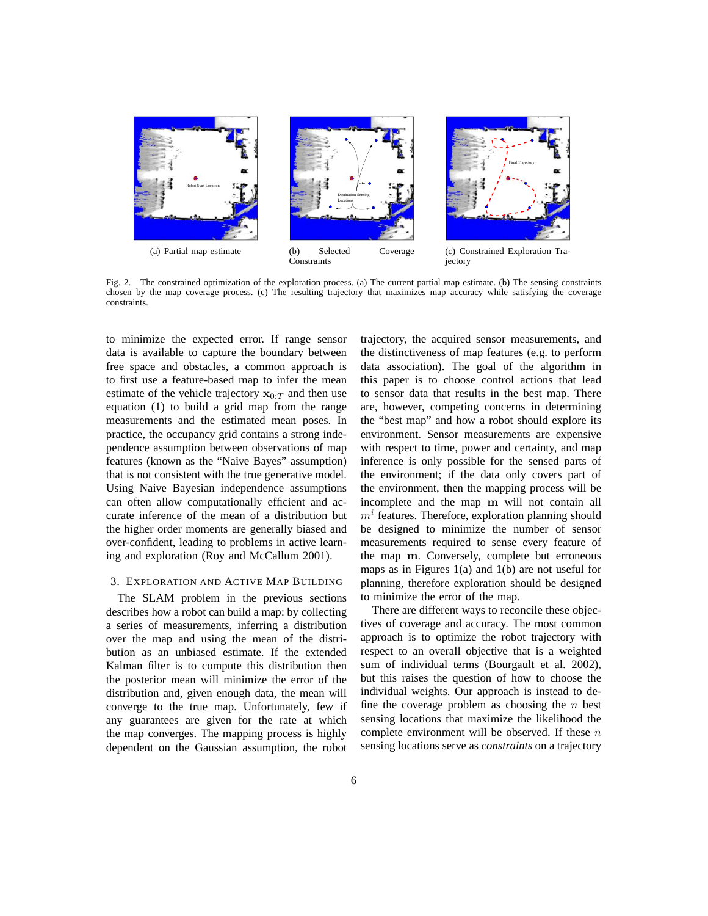

Fig. 2. The constrained optimization of the exploration process. (a) The current partial map estimate. (b) The sensing constraints chosen by the map coverage process. (c) The resulting trajectory that maximizes map accuracy while satisfying the coverage constraints.

to minimize the expected error. If range sensor data is available to capture the boundary between free space and obstacles, a common approach is to first use a feature-based map to infer the mean estimate of the vehicle trajectory  $x_0 \tau$  and then use equation (1) to build a grid map from the range measurements and the estimated mean poses. In practice, the occupancy grid contains a strong independence assumption between observations of map features (known as the "Naive Bayes" assumption) that is not consistent with the true generative model. Using Naive Bayesian independence assumptions can often allow computationally efficient and accurate inference of the mean of a distribution but the higher order moments are generally biased and over-confident, leading to problems in active learning and exploration (Roy and McCallum 2001).

# 3. EXPLORATION AND ACTIVE MAP BUILDING

The SLAM problem in the previous sections describes how a robot can build a map: by collecting a series of measurements, inferring a distribution over the map and using the mean of the distribution as an unbiased estimate. If the extended Kalman filter is to compute this distribution then the posterior mean will minimize the error of the distribution and, given enough data, the mean will converge to the true map. Unfortunately, few if any guarantees are given for the rate at which the map converges. The mapping process is highly dependent on the Gaussian assumption, the robot

trajectory, the acquired sensor measurements, and the distinctiveness of map features (e.g. to perform data association). The goal of the algorithm in this paper is to choose control actions that lead to sensor data that results in the best map. There are, however, competing concerns in determining the "best map" and how a robot should explore its environment. Sensor measurements are expensive with respect to time, power and certainty, and map inference is only possible for the sensed parts of the environment; if the data only covers part of the environment, then the mapping process will be incomplete and the map m will not contain all  $m<sup>i</sup>$  features. Therefore, exploration planning should be designed to minimize the number of sensor measurements required to sense every feature of the map m. Conversely, complete but erroneous maps as in Figures 1(a) and 1(b) are not useful for planning, therefore exploration should be designed to minimize the error of the map.

There are different ways to reconcile these objectives of coverage and accuracy. The most common approach is to optimize the robot trajectory with respect to an overall objective that is a weighted sum of individual terms (Bourgault et al. 2002), but this raises the question of how to choose the individual weights. Our approach is instead to define the coverage problem as choosing the  $n$  best sensing locations that maximize the likelihood the complete environment will be observed. If these  $n$ sensing locations serve as *constraints* on a trajectory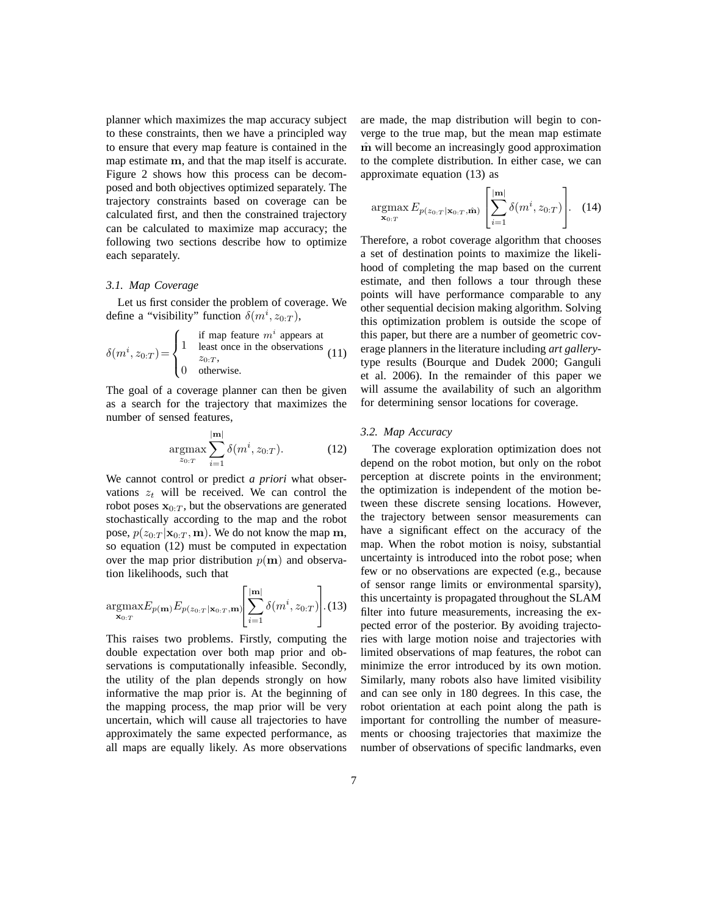planner which maximizes the map accuracy subject to these constraints, then we have a principled way to ensure that every map feature is contained in the map estimate m, and that the map itself is accurate. Figure 2 shows how this process can be decomposed and both objectives optimized separately. The trajectory constraints based on coverage can be calculated first, and then the constrained trajectory can be calculated to maximize map accuracy; the following two sections describe how to optimize each separately.

## *3.1. Map Coverage*

Let us first consider the problem of coverage. We define a "visibility" function  $\delta(m^i, z_{0:T})$ ,

$$
\delta(m^i, z_{0:T}) = \begin{cases}\n1 & \text{if map feature } m^i \text{ appears at} \\
1 & \text{least once in the observations} \\
2_{0:T}, \\
0 & \text{otherwise.} \n\end{cases}
$$
\n(11)

The goal of a coverage planner can then be given as a search for the trajectory that maximizes the number of sensed features,

$$
\underset{z_{0:T}}{\text{argmax}} \sum_{i=1}^{|\mathbf{m}|} \delta(m^i, z_{0:T}). \tag{12}
$$

We cannot control or predict *a priori* what observations  $z_t$  will be received. We can control the robot poses  $x_{0:T}$ , but the observations are generated stochastically according to the map and the robot pose,  $p(z_{0:T} | \mathbf{x}_{0:T}, \mathbf{m})$ . We do not know the map m, so equation (12) must be computed in expectation over the map prior distribution  $p(m)$  and observation likelihoods, such that

$$
\underset{\mathbf{x}_{0:T}}{\operatorname{argmax}} E_{p(\mathbf{m})} E_{p(z_{0:T}|\mathbf{x}_{0:T}, \mathbf{m})} \left[ \sum_{i=1}^{|\mathbf{m}|} \delta(m^i, z_{0:T}) \right]. (13)
$$

This raises two problems. Firstly, computing the double expectation over both map prior and observations is computationally infeasible. Secondly, the utility of the plan depends strongly on how informative the map prior is. At the beginning of the mapping process, the map prior will be very uncertain, which will cause all trajectories to have approximately the same expected performance, as all maps are equally likely. As more observations are made, the map distribution will begin to converge to the true map, but the mean map estimate m will become an increasingly good approximation to the complete distribution. In either case, we can approximate equation (13) as

$$
\underset{\mathbf{x}_{0:T}}{\operatorname{argmax}} E_{p(z_{0:T}|\mathbf{x}_{0:T},\hat{\mathbf{m}})}\left[\sum_{i=1}^{|\mathbf{m}|} \delta(m^i, z_{0:T})\right].
$$
 (14)

Therefore, a robot coverage algorithm that chooses a set of destination points to maximize the likelihood of completing the map based on the current estimate, and then follows a tour through these points will have performance comparable to any other sequential decision making algorithm. Solving this optimization problem is outside the scope of this paper, but there are a number of geometric coverage planners in the literature including *art gallery*type results (Bourque and Dudek 2000; Ganguli et al. 2006). In the remainder of this paper we will assume the availability of such an algorithm for determining sensor locations for coverage.

# *3.2. Map Accuracy*

The coverage exploration optimization does not depend on the robot motion, but only on the robot perception at discrete points in the environment; the optimization is independent of the motion between these discrete sensing locations. However, the trajectory between sensor measurements can have a significant effect on the accuracy of the map. When the robot motion is noisy, substantial uncertainty is introduced into the robot pose; when few or no observations are expected (e.g., because of sensor range limits or environmental sparsity), this uncertainty is propagated throughout the SLAM filter into future measurements, increasing the expected error of the posterior. By avoiding trajectories with large motion noise and trajectories with limited observations of map features, the robot can minimize the error introduced by its own motion. Similarly, many robots also have limited visibility and can see only in 180 degrees. In this case, the robot orientation at each point along the path is important for controlling the number of measurements or choosing trajectories that maximize the number of observations of specific landmarks, even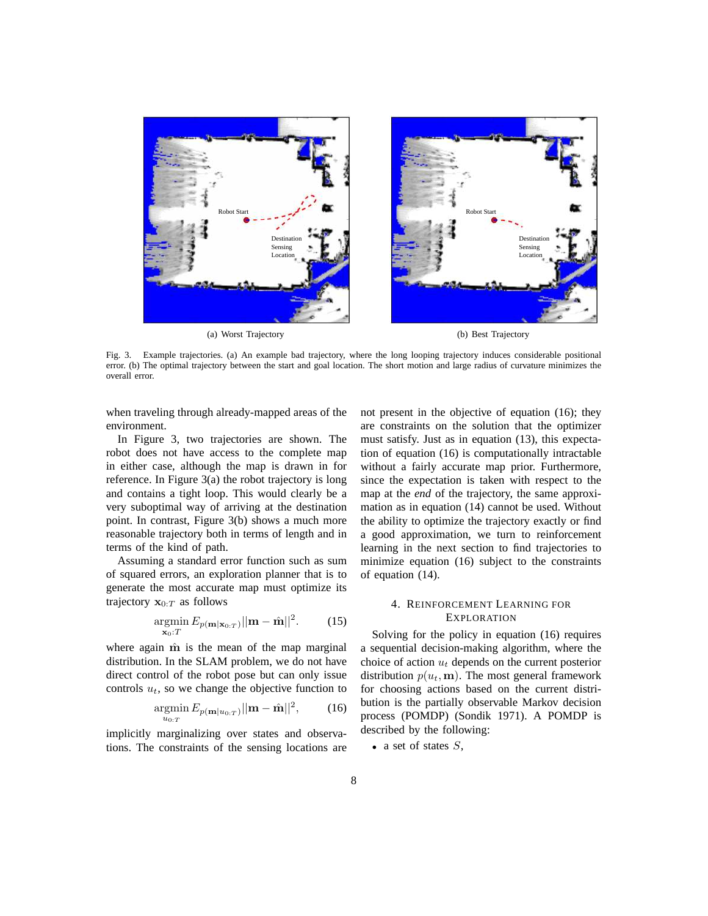

Fig. 3. Example trajectories. (a) An example bad trajectory, where the long looping trajectory induces considerable positional error. (b) The optimal trajectory between the start and goal location. The short motion and large radius of curvature minimizes the overall error.

when traveling through already-mapped areas of the environment.

In Figure 3, two trajectories are shown. The robot does not have access to the complete map in either case, although the map is drawn in for reference. In Figure 3(a) the robot trajectory is long and contains a tight loop. This would clearly be a very suboptimal way of arriving at the destination point. In contrast, Figure 3(b) shows a much more reasonable trajectory both in terms of length and in terms of the kind of path.

Assuming a standard error function such as sum of squared errors, an exploration planner that is to generate the most accurate map must optimize its trajectory  $\mathbf{x}_{0:T}$  as follows

$$
\underset{\mathbf{x}_0:T}{\operatorname{argmin}} E_{p(\mathbf{m}|\mathbf{x}_{0:T})} ||\mathbf{m} - \hat{\mathbf{m}}||^2. \tag{15}
$$

where again  $\hat{m}$  is the mean of the map marginal distribution. In the SLAM problem, we do not have direct control of the robot pose but can only issue controls  $u_t$ , so we change the objective function to

$$
\underset{u_{0:T}}{\text{argmin}} E_{p(\mathbf{m}|u_{0:T})} ||\mathbf{m} - \hat{\mathbf{m}}||^2, \qquad (16)
$$

implicitly marginalizing over states and observations. The constraints of the sensing locations are not present in the objective of equation (16); they are constraints on the solution that the optimizer must satisfy. Just as in equation (13), this expectation of equation (16) is computationally intractable without a fairly accurate map prior. Furthermore, since the expectation is taken with respect to the map at the *end* of the trajectory, the same approximation as in equation (14) cannot be used. Without the ability to optimize the trajectory exactly or find a good approximation, we turn to reinforcement learning in the next section to find trajectories to minimize equation (16) subject to the constraints of equation (14).

# 4. REINFORCEMENT LEARNING FOR **EXPLORATION**

Solving for the policy in equation (16) requires a sequential decision-making algorithm, where the choice of action  $u_t$  depends on the current posterior distribution  $p(u_t, \mathbf{m})$ . The most general framework for choosing actions based on the current distribution is the partially observable Markov decision process (POMDP) (Sondik 1971). A POMDP is described by the following:

• a set of states  $S$ ,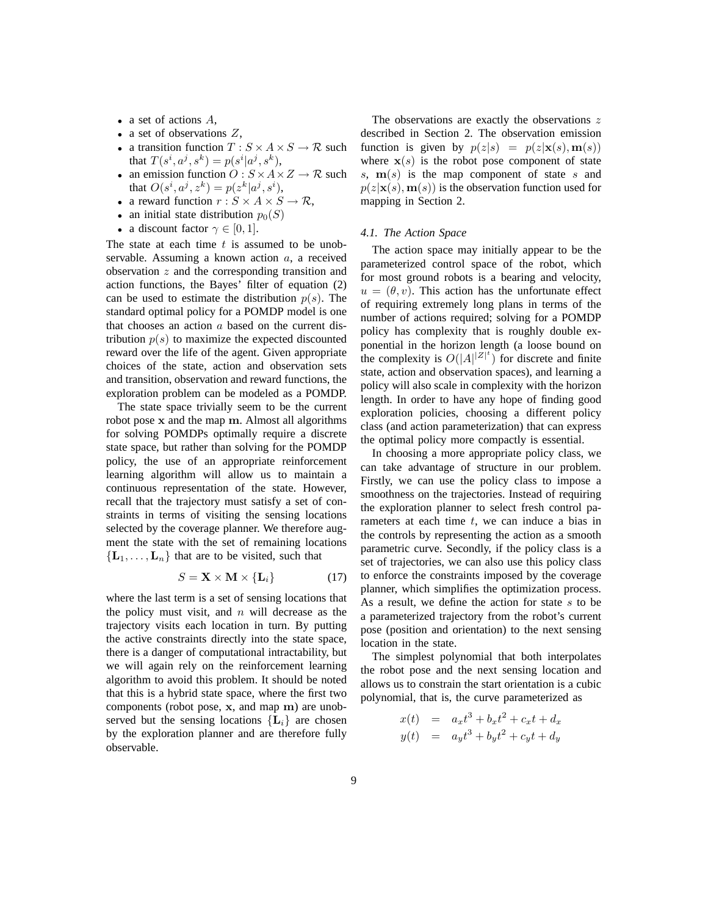- a set of actions  $A$ ,
- a set of observations  $Z$ ,
- a transition function  $T : S \times A \times S \rightarrow \mathcal{R}$  such that  $T(s^i, a^j, s^k) = p(s^i | a^j, s^k)$ ,
- an emission function  $O: S \times A \times Z \rightarrow \mathcal{R}$  such that  $O(s^i, a^j, z^k) = p(z^k | a^j, s^i)$ ,
- a reward function  $r : S \times A \times S \rightarrow \mathcal{R}$ ,
- an initial state distribution  $p_0(S)$
- a discount factor  $\gamma \in [0, 1]$ .

The state at each time  $t$  is assumed to be unobservable. Assuming a known action a, a received observation  $z$  and the corresponding transition and action functions, the Bayes' filter of equation (2) can be used to estimate the distribution  $p(s)$ . The standard optimal policy for a POMDP model is one that chooses an action  $a$  based on the current distribution  $p(s)$  to maximize the expected discounted reward over the life of the agent. Given appropriate choices of the state, action and observation sets and transition, observation and reward functions, the exploration problem can be modeled as a POMDP.

The state space trivially seem to be the current robot pose x and the map m. Almost all algorithms for solving POMDPs optimally require a discrete state space, but rather than solving for the POMDP policy, the use of an appropriate reinforcement learning algorithm will allow us to maintain a continuous representation of the state. However, recall that the trajectory must satisfy a set of constraints in terms of visiting the sensing locations selected by the coverage planner. We therefore augment the state with the set of remaining locations  ${L_1, \ldots, L_n}$  that are to be visited, such that

$$
S = \mathbf{X} \times \mathbf{M} \times \{\mathbf{L}_i\} \tag{17}
$$

where the last term is a set of sensing locations that the policy must visit, and  $n$  will decrease as the trajectory visits each location in turn. By putting the active constraints directly into the state space, there is a danger of computational intractability, but we will again rely on the reinforcement learning algorithm to avoid this problem. It should be noted that this is a hybrid state space, where the first two components (robot pose, x, and map m) are unobserved but the sensing locations  ${L_i}$  are chosen by the exploration planner and are therefore fully observable.

The observations are exactly the observations  $z$ described in Section 2. The observation emission function is given by  $p(z|s) = p(z|\mathbf{x}(s), \mathbf{m}(s))$ where  $x(s)$  is the robot pose component of state s,  $m(s)$  is the map component of state s and  $p(z|\mathbf{x}(s), \mathbf{m}(s))$  is the observation function used for mapping in Section 2.

# *4.1. The Action Space*

The action space may initially appear to be the parameterized control space of the robot, which for most ground robots is a bearing and velocity,  $u = (\theta, v)$ . This action has the unfortunate effect of requiring extremely long plans in terms of the number of actions required; solving for a POMDP policy has complexity that is roughly double exponential in the horizon length (a loose bound on the complexity is  $O(|A|^{|Z|^t})$  for discrete and finite state, action and observation spaces), and learning a policy will also scale in complexity with the horizon length. In order to have any hope of finding good exploration policies, choosing a different policy class (and action parameterization) that can express the optimal policy more compactly is essential.

In choosing a more appropriate policy class, we can take advantage of structure in our problem. Firstly, we can use the policy class to impose a smoothness on the trajectories. Instead of requiring the exploration planner to select fresh control parameters at each time  $t$ , we can induce a bias in the controls by representing the action as a smooth parametric curve. Secondly, if the policy class is a set of trajectories, we can also use this policy class to enforce the constraints imposed by the coverage planner, which simplifies the optimization process. As a result, we define the action for state  $s$  to be a parameterized trajectory from the robot's current pose (position and orientation) to the next sensing location in the state.

The simplest polynomial that both interpolates the robot pose and the next sensing location and allows us to constrain the start orientation is a cubic polynomial, that is, the curve parameterized as

$$
x(t) = a_x t^3 + b_x t^2 + c_x t + d_x
$$
  

$$
y(t) = a_y t^3 + b_y t^2 + c_y t + d_y
$$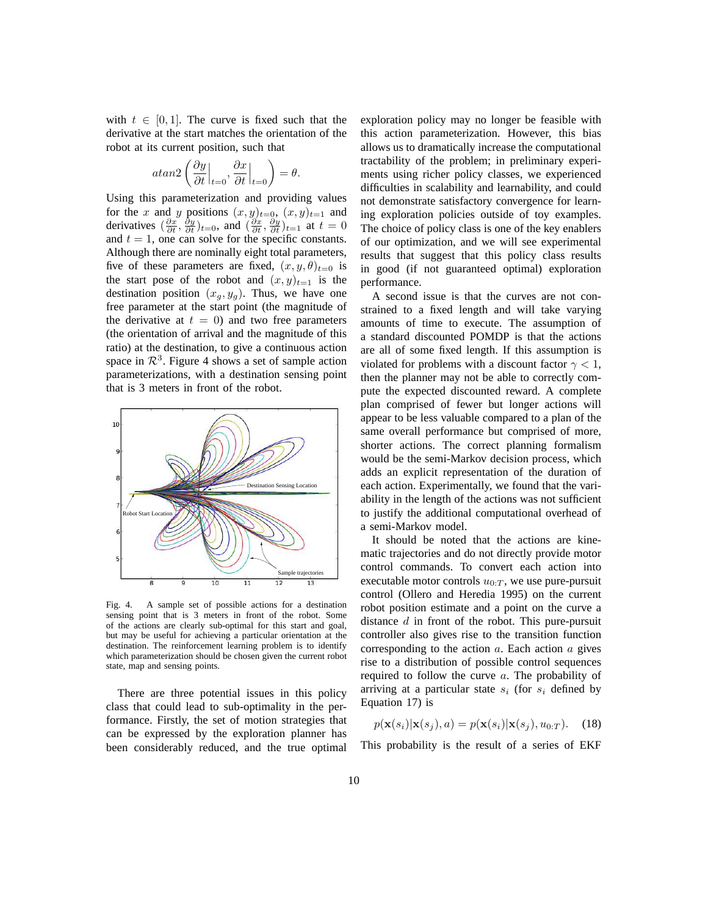with  $t \in [0, 1]$ . The curve is fixed such that the derivative at the start matches the orientation of the robot at its current position, such that

$$
atan2\left(\frac{\partial y}{\partial t}\Big|_{t=0}, \frac{\partial x}{\partial t}\Big|_{t=0}\right) = \theta.
$$

Using this parameterization and providing values for the x and y positions  $(x, y)_{t=0}$ ,  $(x, y)_{t=1}$  and derivatives  $(\frac{\partial x}{\partial t}, \frac{\partial y}{\partial t})_{t=0}$ , and  $(\frac{\partial x}{\partial t}, \frac{\partial y}{\partial t})_{t=1}$  at  $t=0$ and  $t = 1$ , one can solve for the specific constants. Although there are nominally eight total parameters, five of these parameters are fixed,  $(x, y, \theta)_{t=0}$  is the start pose of the robot and  $(x, y)_{t=1}$  is the destination position  $(x_g, y_g)$ . Thus, we have one free parameter at the start point (the magnitude of the derivative at  $t = 0$ ) and two free parameters (the orientation of arrival and the magnitude of this ratio) at the destination, to give a continuous action space in  $\mathcal{R}^3$ . Figure 4 shows a set of sample action parameterizations, with a destination sensing point that is 3 meters in front of the robot.



Fig. 4. A sample set of possible actions for a destination sensing point that is 3 meters in front of the robot. Some of the actions are clearly sub-optimal for this start and goal, but may be useful for achieving a particular orientation at the destination. The reinforcement learning problem is to identify which parameterization should be chosen given the current robot state, map and sensing points.

There are three potential issues in this policy class that could lead to sub-optimality in the performance. Firstly, the set of motion strategies that can be expressed by the exploration planner has been considerably reduced, and the true optimal exploration policy may no longer be feasible with this action parameterization. However, this bias allows us to dramatically increase the computational tractability of the problem; in preliminary experiments using richer policy classes, we experienced difficulties in scalability and learnability, and could not demonstrate satisfactory convergence for learning exploration policies outside of toy examples. The choice of policy class is one of the key enablers of our optimization, and we will see experimental results that suggest that this policy class results in good (if not guaranteed optimal) exploration performance.

A second issue is that the curves are not constrained to a fixed length and will take varying amounts of time to execute. The assumption of a standard discounted POMDP is that the actions are all of some fixed length. If this assumption is violated for problems with a discount factor  $\gamma < 1$ , then the planner may not be able to correctly compute the expected discounted reward. A complete plan comprised of fewer but longer actions will appear to be less valuable compared to a plan of the same overall performance but comprised of more, shorter actions. The correct planning formalism would be the semi-Markov decision process, which adds an explicit representation of the duration of each action. Experimentally, we found that the variability in the length of the actions was not sufficient to justify the additional computational overhead of a semi-Markov model.

It should be noted that the actions are kinematic trajectories and do not directly provide motor control commands. To convert each action into executable motor controls  $u_{0:T}$ , we use pure-pursuit control (Ollero and Heredia 1995) on the current robot position estimate and a point on the curve a distance d in front of the robot. This pure-pursuit controller also gives rise to the transition function corresponding to the action  $a$ . Each action  $a$  gives rise to a distribution of possible control sequences required to follow the curve a. The probability of arriving at a particular state  $s_i$  (for  $s_i$  defined by Equation 17) is

$$
p(\mathbf{x}(s_i)|\mathbf{x}(s_j),a) = p(\mathbf{x}(s_i)|\mathbf{x}(s_j),u_{0:T}).
$$
 (18)

This probability is the result of a series of EKF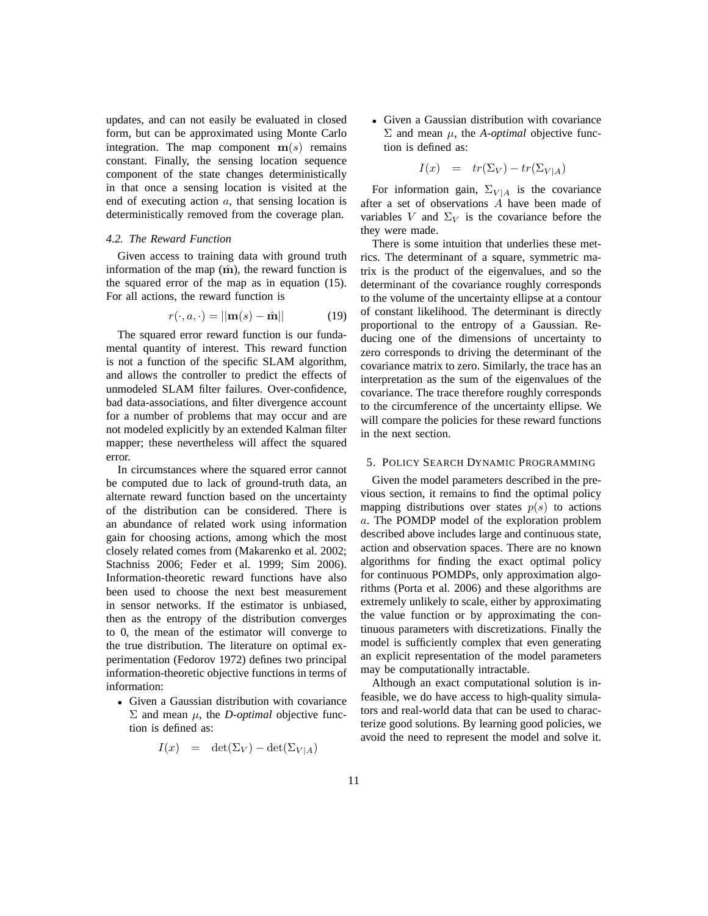updates, and can not easily be evaluated in closed form, but can be approximated using Monte Carlo integration. The map component  $m(s)$  remains constant. Finally, the sensing location sequence component of the state changes deterministically in that once a sensing location is visited at the end of executing action a, that sensing location is deterministically removed from the coverage plan.

#### *4.2. The Reward Function*

Given access to training data with ground truth information of the map  $(\hat{\mathbf{m}})$ , the reward function is the squared error of the map as in equation (15). For all actions, the reward function is

$$
r(\cdot, a, \cdot) = ||\mathbf{m}(s) - \hat{\mathbf{m}}|| \tag{19}
$$

The squared error reward function is our fundamental quantity of interest. This reward function is not a function of the specific SLAM algorithm, and allows the controller to predict the effects of unmodeled SLAM filter failures. Over-confidence, bad data-associations, and filter divergence account for a number of problems that may occur and are not modeled explicitly by an extended Kalman filter mapper; these nevertheless will affect the squared error.

In circumstances where the squared error cannot be computed due to lack of ground-truth data, an alternate reward function based on the uncertainty of the distribution can be considered. There is an abundance of related work using information gain for choosing actions, among which the most closely related comes from (Makarenko et al. 2002; Stachniss 2006; Feder et al. 1999; Sim 2006). Information-theoretic reward functions have also been used to choose the next best measurement in sensor networks. If the estimator is unbiased, then as the entropy of the distribution converges to 0, the mean of the estimator will converge to the true distribution. The literature on optimal experimentation (Fedorov 1972) defines two principal information-theoretic objective functions in terms of information:

• Given a Gaussian distribution with covariance  $Σ$  and mean  $μ$ , the *D-optimal* objective function is defined as:

$$
I(x) = \det(\Sigma_V) - \det(\Sigma_{V|A})
$$

• Given a Gaussian distribution with covariance  $\Sigma$  and mean  $\mu$ , the *A-optimal* objective function is defined as:

$$
I(x) = tr(\Sigma_V) - tr(\Sigma_{V|A})
$$

For information gain,  $\Sigma_{V|A}$  is the covariance after a set of observations  $\overrightarrow{A}$  have been made of variables V and  $\Sigma_V$  is the covariance before the they were made.

There is some intuition that underlies these metrics. The determinant of a square, symmetric matrix is the product of the eigenvalues, and so the determinant of the covariance roughly corresponds to the volume of the uncertainty ellipse at a contour of constant likelihood. The determinant is directly proportional to the entropy of a Gaussian. Reducing one of the dimensions of uncertainty to zero corresponds to driving the determinant of the covariance matrix to zero. Similarly, the trace has an interpretation as the sum of the eigenvalues of the covariance. The trace therefore roughly corresponds to the circumference of the uncertainty ellipse. We will compare the policies for these reward functions in the next section.

## 5. POLICY SEARCH DYNAMIC PROGRAMMING

Given the model parameters described in the previous section, it remains to find the optimal policy mapping distributions over states  $p(s)$  to actions a. The POMDP model of the exploration problem described above includes large and continuous state, action and observation spaces. There are no known algorithms for finding the exact optimal policy for continuous POMDPs, only approximation algorithms (Porta et al. 2006) and these algorithms are extremely unlikely to scale, either by approximating the value function or by approximating the continuous parameters with discretizations. Finally the model is sufficiently complex that even generating an explicit representation of the model parameters may be computationally intractable.

Although an exact computational solution is infeasible, we do have access to high-quality simulators and real-world data that can be used to characterize good solutions. By learning good policies, we avoid the need to represent the model and solve it.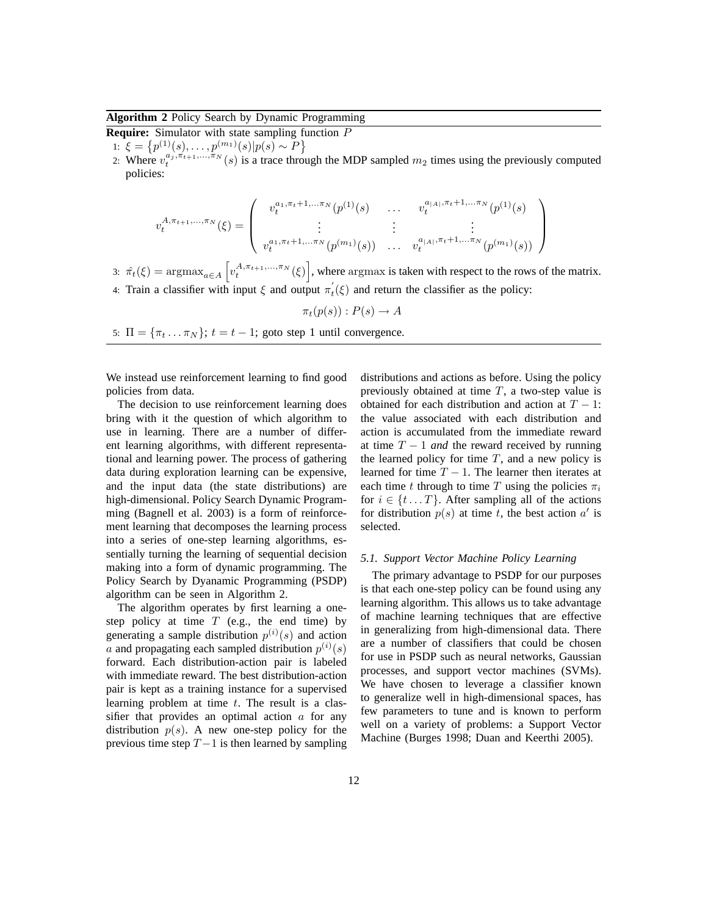**Algorithm 2** Policy Search by Dynamic Programming

**Require:** Simulator with state sampling function P

1:  $\xi = \{p^{(1)}(s), \ldots, p^{(m_1)}(s)|p(s) \sim P\}$ 

2: Where  $v_t^{a_j, \pi_{t+1}, \dots, \pi_N}(s)$  is a trace through the MDP sampled  $m_2$  times using the previously computed policies:

$$
v_t^{A, \pi_{t+1}, \dots, \pi_N}(\xi) = \begin{pmatrix} v_t^{a_1, \pi_t + 1, \dots, \pi_N}(p^{(1)}(s) & \dots & v_t^{a_{|A|}, \pi_t + 1, \dots, \pi_N}(p^{(1)}(s) \\ \vdots & \vdots & \vdots \\ v_t^{a_1, \pi_t + 1, \dots, \pi_N}(p^{(m_1)}(s)) & \dots & v_t^{a_{|A|}, \pi_t + 1, \dots, \pi_N}(p^{(m_1)}(s)) \end{pmatrix}
$$

3:  $\hat{\pi}_t(\xi) = \arg \max_{a \in A} \left[ v_t^{A, \pi_{t+1}, \dots, \pi_N}(\xi) \right]$ , where argmax is taken with respect to the rows of the matrix. 4: Train a classifier with input  $\xi$  and output  $\pi_t'(\xi)$  and return the classifier as the policy:

$$
\pi_t(p(s)) : P(s) \to A
$$

5:  $\Pi = {\pi_t \dots \pi_N}; t = t - 1;$  goto step 1 until convergence.

We instead use reinforcement learning to find good policies from data.

The decision to use reinforcement learning does bring with it the question of which algorithm to use in learning. There are a number of different learning algorithms, with different representational and learning power. The process of gathering data during exploration learning can be expensive, and the input data (the state distributions) are high-dimensional. Policy Search Dynamic Programming (Bagnell et al. 2003) is a form of reinforcement learning that decomposes the learning process into a series of one-step learning algorithms, essentially turning the learning of sequential decision making into a form of dynamic programming. The Policy Search by Dyanamic Programming (PSDP) algorithm can be seen in Algorithm 2.

The algorithm operates by first learning a onestep policy at time  $T$  (e.g., the end time) by generating a sample distribution  $p^{(i)}(s)$  and action a and propagating each sampled distribution  $p^{(i)}(s)$ forward. Each distribution-action pair is labeled with immediate reward. The best distribution-action pair is kept as a training instance for a supervised learning problem at time  $t$ . The result is a classifier that provides an optimal action  $\alpha$  for any distribution  $p(s)$ . A new one-step policy for the previous time step  $T-1$  is then learned by sampling distributions and actions as before. Using the policy previously obtained at time  $T$ , a two-step value is obtained for each distribution and action at  $T - 1$ : the value associated with each distribution and action is accumulated from the immediate reward at time  $T - 1$  *and* the reward received by running the learned policy for time  $T$ , and a new policy is learned for time  $T - 1$ . The learner then iterates at each time t through to time T using the policies  $\pi_i$ for  $i \in \{t \dots T\}$ . After sampling all of the actions for distribution  $p(s)$  at time t, the best action  $a'$  is selected.

# *5.1. Support Vector Machine Policy Learning*

The primary advantage to PSDP for our purposes is that each one-step policy can be found using any learning algorithm. This allows us to take advantage of machine learning techniques that are effective in generalizing from high-dimensional data. There are a number of classifiers that could be chosen for use in PSDP such as neural networks, Gaussian processes, and support vector machines (SVMs). We have chosen to leverage a classifier known to generalize well in high-dimensional spaces, has few parameters to tune and is known to perform well on a variety of problems: a Support Vector Machine (Burges 1998; Duan and Keerthi 2005).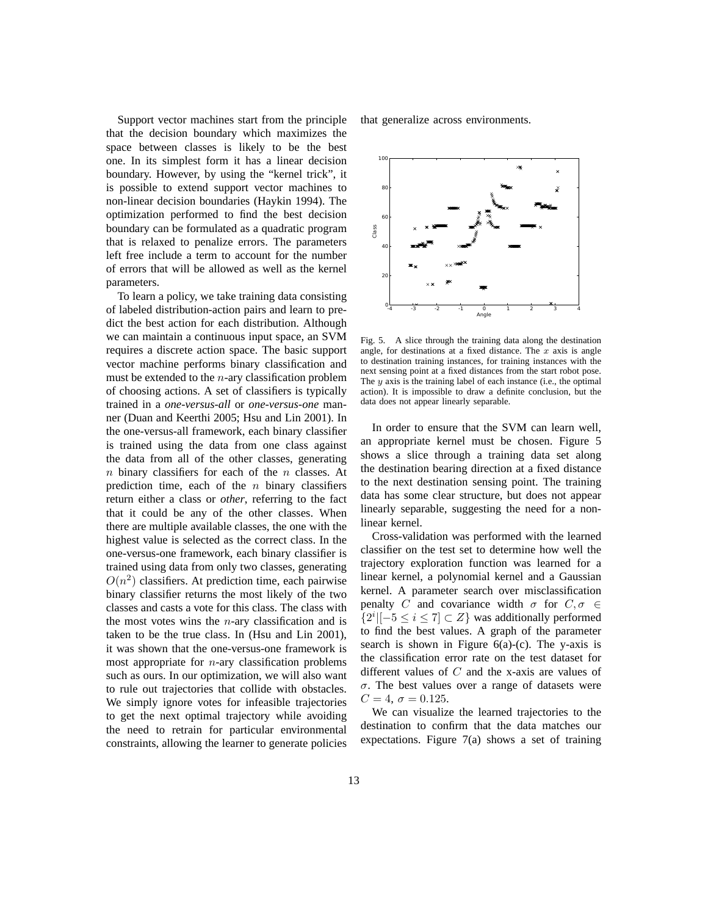Support vector machines start from the principle that the decision boundary which maximizes the space between classes is likely to be the best one. In its simplest form it has a linear decision boundary. However, by using the "kernel trick", it is possible to extend support vector machines to non-linear decision boundaries (Haykin 1994). The optimization performed to find the best decision boundary can be formulated as a quadratic program that is relaxed to penalize errors. The parameters left free include a term to account for the number of errors that will be allowed as well as the kernel parameters.

To learn a policy, we take training data consisting of labeled distribution-action pairs and learn to predict the best action for each distribution. Although we can maintain a continuous input space, an SVM requires a discrete action space. The basic support vector machine performs binary classification and must be extended to the  $n$ -ary classification problem of choosing actions. A set of classifiers is typically trained in a *one-versus-all* or *one-versus-one* manner (Duan and Keerthi 2005; Hsu and Lin 2001). In the one-versus-all framework, each binary classifier is trained using the data from one class against the data from all of the other classes, generating  $n$  binary classifiers for each of the  $n$  classes. At prediction time, each of the  $n$  binary classifiers return either a class or *other*, referring to the fact that it could be any of the other classes. When there are multiple available classes, the one with the highest value is selected as the correct class. In the one-versus-one framework, each binary classifier is trained using data from only two classes, generating  $O(n^2)$  classifiers. At prediction time, each pairwise binary classifier returns the most likely of the two classes and casts a vote for this class. The class with the most votes wins the  $n$ -ary classification and is taken to be the true class. In (Hsu and Lin 2001), it was shown that the one-versus-one framework is most appropriate for  $n$ -ary classification problems such as ours. In our optimization, we will also want to rule out trajectories that collide with obstacles. We simply ignore votes for infeasible trajectories to get the next optimal trajectory while avoiding the need to retrain for particular environmental constraints, allowing the learner to generate policies

that generalize across environments.



Fig. 5. A slice through the training data along the destination angle, for destinations at a fixed distance. The  $x$  axis is angle to destination training instances, for training instances with the next sensing point at a fixed distances from the start robot pose. The  $y$  axis is the training label of each instance (i.e., the optimal action). It is impossible to draw a definite conclusion, but the data does not appear linearly separable.

In order to ensure that the SVM can learn well, an appropriate kernel must be chosen. Figure 5 shows a slice through a training data set along the destination bearing direction at a fixed distance to the next destination sensing point. The training data has some clear structure, but does not appear linearly separable, suggesting the need for a nonlinear kernel.

Cross-validation was performed with the learned classifier on the test set to determine how well the trajectory exploration function was learned for a linear kernel, a polynomial kernel and a Gaussian kernel. A parameter search over misclassification penalty C and covariance width  $\sigma$  for  $C, \sigma \in$  ${2^i|[-5 \leq i \leq 7] \subset Z}$  was additionally performed to find the best values. A graph of the parameter search is shown in Figure  $6(a)-(c)$ . The y-axis is the classification error rate on the test dataset for different values of  $C$  and the x-axis are values of  $\sigma$ . The best values over a range of datasets were  $C = 4, \sigma = 0.125.$ 

We can visualize the learned trajectories to the destination to confirm that the data matches our expectations. Figure 7(a) shows a set of training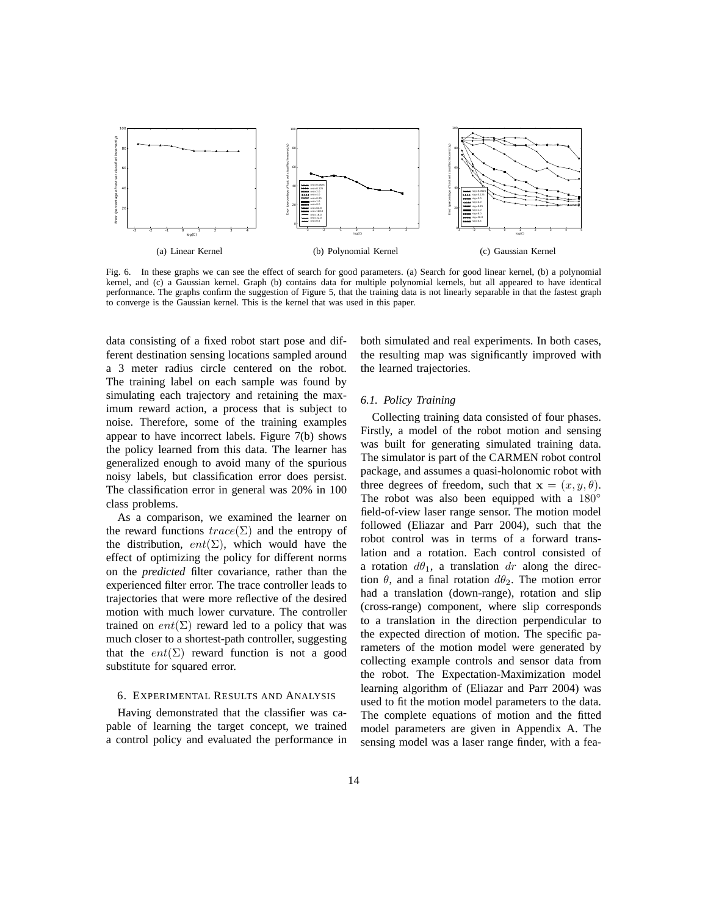

Fig. 6. In these graphs we can see the effect of search for good parameters. (a) Search for good linear kernel, (b) a polynomial kernel, and (c) a Gaussian kernel. Graph (b) contains data for multiple polynomial kernels, but all appeared to have identical performance. The graphs confirm the suggestion of Figure 5, that the training data is not linearly separable in that the fastest graph to converge is the Gaussian kernel. This is the kernel that was used in this paper.

data consisting of a fixed robot start pose and different destination sensing locations sampled around a 3 meter radius circle centered on the robot. The training label on each sample was found by simulating each trajectory and retaining the maximum reward action, a process that is subject to noise. Therefore, some of the training examples appear to have incorrect labels. Figure 7(b) shows the policy learned from this data. The learner has generalized enough to avoid many of the spurious noisy labels, but classification error does persist. The classification error in general was 20% in 100 class problems.

As a comparison, we examined the learner on the reward functions  $trace(\Sigma)$  and the entropy of the distribution,  $ent(\Sigma)$ , which would have the effect of optimizing the policy for different norms on the *predicted* filter covariance, rather than the experienced filter error. The trace controller leads to trajectories that were more reflective of the desired motion with much lower curvature. The controller trained on  $ent(\Sigma)$  reward led to a policy that was much closer to a shortest-path controller, suggesting that the  $ent(\Sigma)$  reward function is not a good substitute for squared error.

## 6. EXPERIMENTAL RESULTS AND ANALYSIS

Having demonstrated that the classifier was capable of learning the target concept, we trained a control policy and evaluated the performance in both simulated and real experiments. In both cases, the resulting map was significantly improved with the learned trajectories.

# *6.1. Policy Training*

Collecting training data consisted of four phases. Firstly, a model of the robot motion and sensing was built for generating simulated training data. The simulator is part of the CARMEN robot control package, and assumes a quasi-holonomic robot with three degrees of freedom, such that  $\mathbf{x} = (x, y, \theta)$ . The robot was also been equipped with a 180<sup>°</sup> field-of-view laser range sensor. The motion model followed (Eliazar and Parr 2004), such that the robot control was in terms of a forward translation and a rotation. Each control consisted of a rotation  $d\theta_1$ , a translation dr along the direction  $\theta$ , and a final rotation  $d\theta_2$ . The motion error had a translation (down-range), rotation and slip (cross-range) component, where slip corresponds to a translation in the direction perpendicular to the expected direction of motion. The specific parameters of the motion model were generated by collecting example controls and sensor data from the robot. The Expectation-Maximization model learning algorithm of (Eliazar and Parr 2004) was used to fit the motion model parameters to the data. The complete equations of motion and the fitted model parameters are given in Appendix A. The sensing model was a laser range finder, with a fea-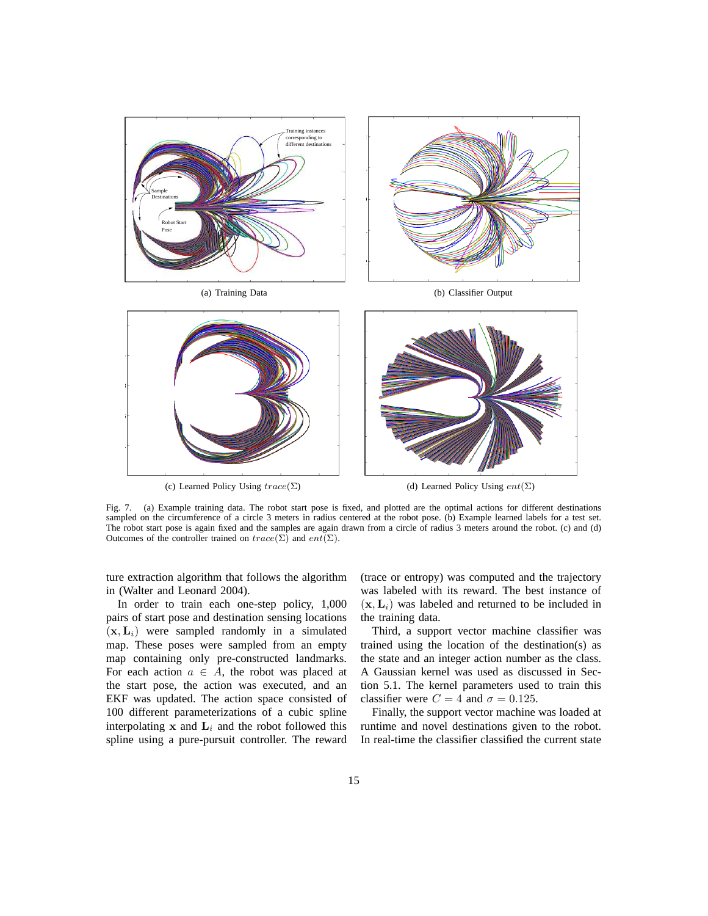

Fig. 7. (a) Example training data. The robot start pose is fixed, and plotted are the optimal actions for different destinations sampled on the circumference of a circle 3 meters in radius centered at the robot pose. (b) Example learned labels for a test set. The robot start pose is again fixed and the samples are again drawn from a circle of radius 3 meters around the robot. (c) and (d) Outcomes of the controller trained on  $trace(\Sigma)$  and  $ent(\Sigma)$ .

ture extraction algorithm that follows the algorithm in (Walter and Leonard 2004).

In order to train each one-step policy, 1,000 pairs of start pose and destination sensing locations  $(x, L_i)$  were sampled randomly in a simulated map. These poses were sampled from an empty map containing only pre-constructed landmarks. For each action  $a \in A$ , the robot was placed at the start pose, the action was executed, and an EKF was updated. The action space consisted of 100 different parameterizations of a cubic spline interpolating  $x$  and  $L_i$  and the robot followed this spline using a pure-pursuit controller. The reward

(trace or entropy) was computed and the trajectory was labeled with its reward. The best instance of  $(\mathbf{x}, \mathbf{L}_i)$  was labeled and returned to be included in the training data.

Third, a support vector machine classifier was trained using the location of the destination(s) as the state and an integer action number as the class. A Gaussian kernel was used as discussed in Section 5.1. The kernel parameters used to train this classifier were  $C = 4$  and  $\sigma = 0.125$ .

Finally, the support vector machine was loaded at runtime and novel destinations given to the robot. In real-time the classifier classified the current state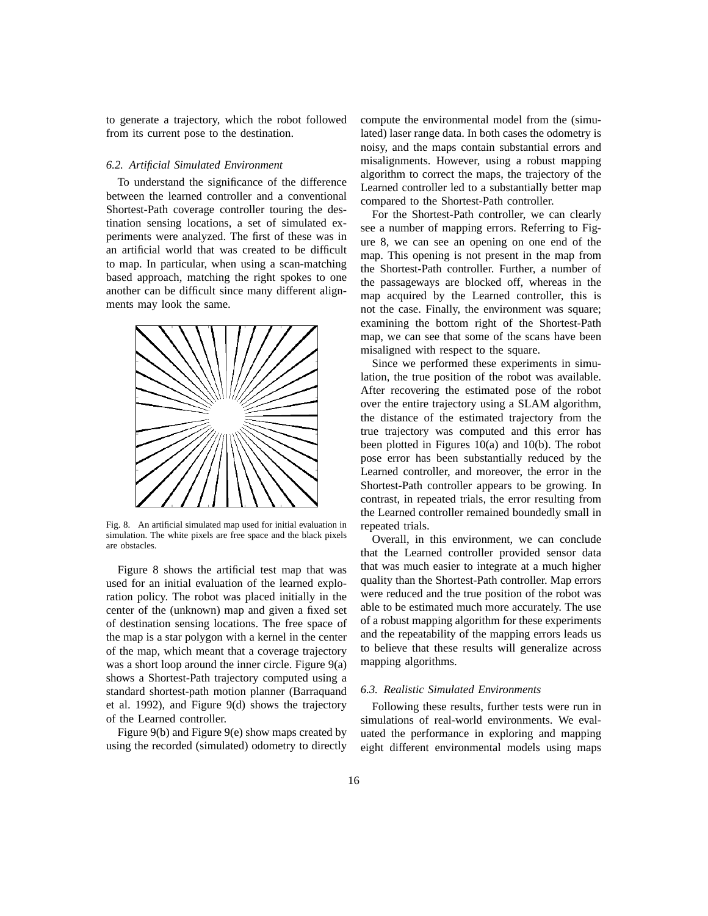to generate a trajectory, which the robot followed from its current pose to the destination.

## *6.2. Artificial Simulated Environment*

To understand the significance of the difference between the learned controller and a conventional Shortest-Path coverage controller touring the destination sensing locations, a set of simulated experiments were analyzed. The first of these was in an artificial world that was created to be difficult to map. In particular, when using a scan-matching based approach, matching the right spokes to one another can be difficult since many different alignments may look the same.



Fig. 8. An artificial simulated map used for initial evaluation in simulation. The white pixels are free space and the black pixels are obstacles.

Figure 8 shows the artificial test map that was used for an initial evaluation of the learned exploration policy. The robot was placed initially in the center of the (unknown) map and given a fixed set of destination sensing locations. The free space of the map is a star polygon with a kernel in the center of the map, which meant that a coverage trajectory was a short loop around the inner circle. Figure 9(a) shows a Shortest-Path trajectory computed using a standard shortest-path motion planner (Barraquand et al. 1992), and Figure 9(d) shows the trajectory of the Learned controller.

Figure 9(b) and Figure 9(e) show maps created by using the recorded (simulated) odometry to directly compute the environmental model from the (simulated) laser range data. In both cases the odometry is noisy, and the maps contain substantial errors and misalignments. However, using a robust mapping algorithm to correct the maps, the trajectory of the Learned controller led to a substantially better map compared to the Shortest-Path controller.

For the Shortest-Path controller, we can clearly see a number of mapping errors. Referring to Figure 8, we can see an opening on one end of the map. This opening is not present in the map from the Shortest-Path controller. Further, a number of the passageways are blocked off, whereas in the map acquired by the Learned controller, this is not the case. Finally, the environment was square; examining the bottom right of the Shortest-Path map, we can see that some of the scans have been misaligned with respect to the square.

Since we performed these experiments in simulation, the true position of the robot was available. After recovering the estimated pose of the robot over the entire trajectory using a SLAM algorithm, the distance of the estimated trajectory from the true trajectory was computed and this error has been plotted in Figures 10(a) and 10(b). The robot pose error has been substantially reduced by the Learned controller, and moreover, the error in the Shortest-Path controller appears to be growing. In contrast, in repeated trials, the error resulting from the Learned controller remained boundedly small in repeated trials.

Overall, in this environment, we can conclude that the Learned controller provided sensor data that was much easier to integrate at a much higher quality than the Shortest-Path controller. Map errors were reduced and the true position of the robot was able to be estimated much more accurately. The use of a robust mapping algorithm for these experiments and the repeatability of the mapping errors leads us to believe that these results will generalize across mapping algorithms.

#### *6.3. Realistic Simulated Environments*

Following these results, further tests were run in simulations of real-world environments. We evaluated the performance in exploring and mapping eight different environmental models using maps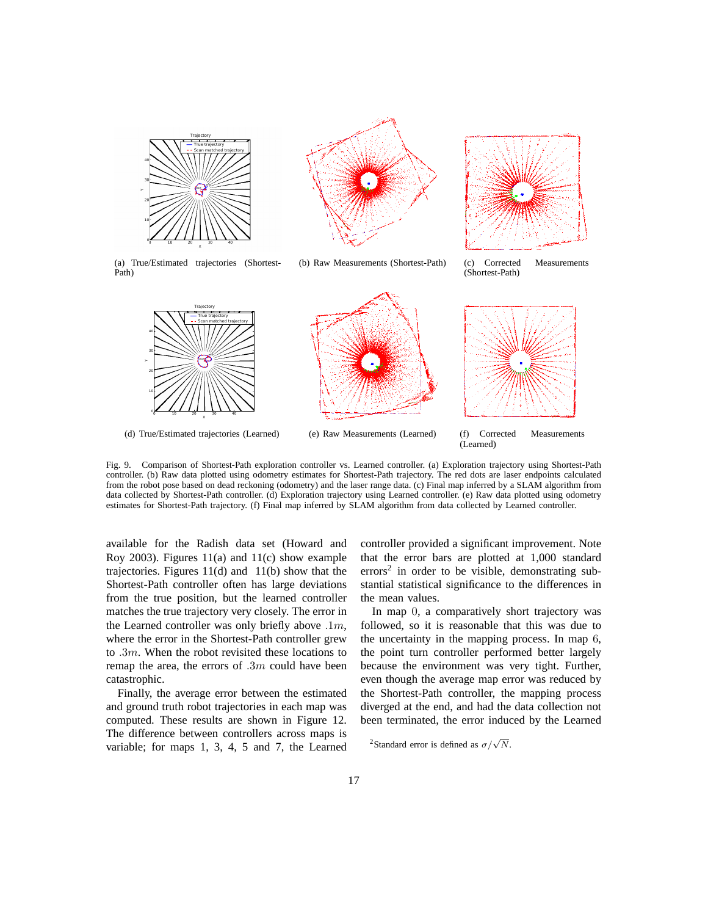



(b) Raw Measurements (Shortest-Path) (c) Corrected Measurements



(a) True/Estimated trajectories (Shortest-Path)

Trajectory True trajectory Scan matched trajectory

0 10 20 30 40 X

start end

Y



(d) True/Estimated trajectories (Learned) (e) Raw Measurements (Learned) (f) Corrected Measurements

(Shortest-Path)



(Learned)

Fig. 9. Comparison of Shortest-Path exploration controller vs. Learned controller. (a) Exploration trajectory using Shortest-Path controller. (b) Raw data plotted using odometry estimates for Shortest-Path trajectory. The red dots are laser endpoints calculated from the robot pose based on dead reckoning (odometry) and the laser range data. (c) Final map inferred by a SLAM algorithm from data collected by Shortest-Path controller. (d) Exploration trajectory using Learned controller. (e) Raw data plotted using odometry estimates for Shortest-Path trajectory. (f) Final map inferred by SLAM algorithm from data collected by Learned controller.

available for the Radish data set (Howard and Roy 2003). Figures 11(a) and 11(c) show example trajectories. Figures 11(d) and 11(b) show that the Shortest-Path controller often has large deviations from the true position, but the learned controller matches the true trajectory very closely. The error in the Learned controller was only briefly above  $.1m$ , where the error in the Shortest-Path controller grew to  $.3m$ . When the robot revisited these locations to remap the area, the errors of .3m could have been catastrophic.

Finally, the average error between the estimated and ground truth robot trajectories in each map was computed. These results are shown in Figure 12. The difference between controllers across maps is variable; for maps 1, 3, 4, 5 and 7, the Learned controller provided a significant improvement. Note that the error bars are plotted at 1,000 standard errors<sup>2</sup> in order to be visible, demonstrating substantial statistical significance to the differences in the mean values.

In map 0, a comparatively short trajectory was followed, so it is reasonable that this was due to the uncertainty in the mapping process. In map 6, the point turn controller performed better largely because the environment was very tight. Further, even though the average map error was reduced by the Shortest-Path controller, the mapping process diverged at the end, and had the data collection not been terminated, the error induced by the Learned

<sup>2</sup>Standard error is defined as  $\sigma/\sqrt{N}$ .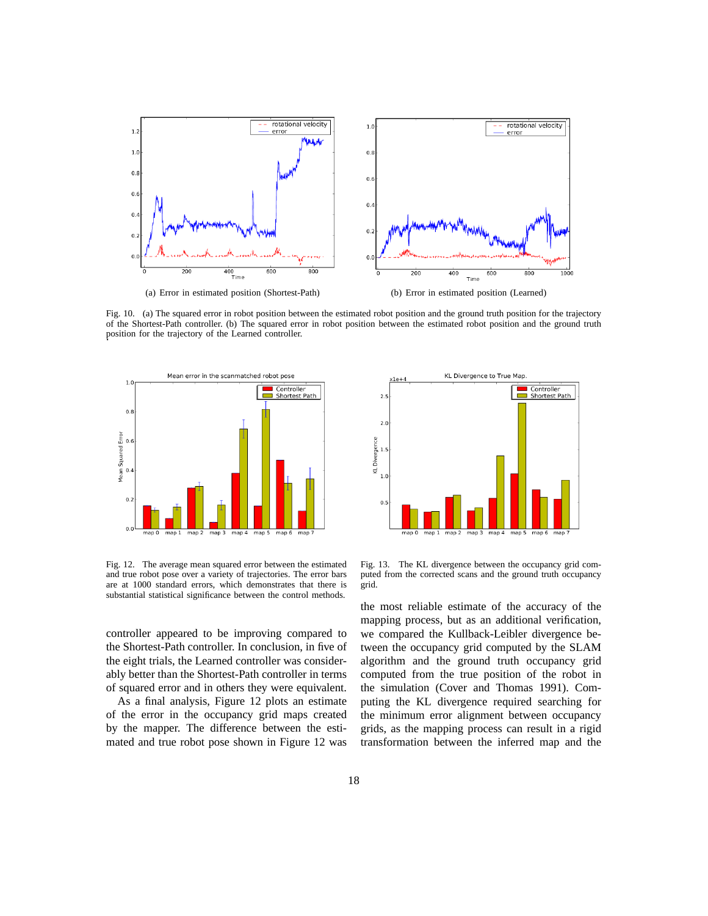

Fig. 10. (a) The squared error in robot position between the estimated robot position and the ground truth position for the trajectory of the Shortest-Path controller. (b) The squared error in robot position between the estimated robot position and the ground truth position for the trajectory of the Learned controller. .



Fig. 12. The average mean squared error between the estimated and true robot pose over a variety of trajectories. The error bars are at 1000 standard errors, which demonstrates that there is substantial statistical significance between the control methods.

controller appeared to be improving compared to the Shortest-Path controller. In conclusion, in five of the eight trials, the Learned controller was considerably better than the Shortest-Path controller in terms of squared error and in others they were equivalent.

As a final analysis, Figure 12 plots an estimate of the error in the occupancy grid maps created by the mapper. The difference between the estimated and true robot pose shown in Figure 12 was



Fig. 13. The KL divergence between the occupancy grid computed from the corrected scans and the ground truth occupancy grid.

the most reliable estimate of the accuracy of the mapping process, but as an additional verification, we compared the Kullback-Leibler divergence between the occupancy grid computed by the SLAM algorithm and the ground truth occupancy grid computed from the true position of the robot in the simulation (Cover and Thomas 1991). Computing the KL divergence required searching for the minimum error alignment between occupancy grids, as the mapping process can result in a rigid transformation between the inferred map and the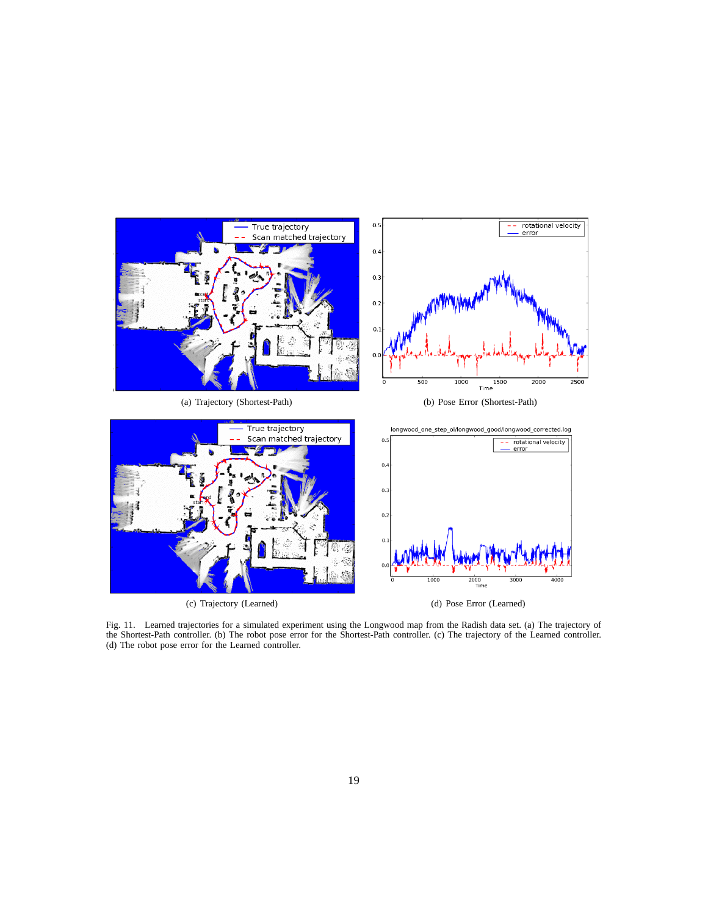

Fig. 11. Learned trajectories for a simulated experiment using the Longwood map from the Radish data set. (a) The trajectory of the Shortest-Path controller. (b) The robot pose error for the Shortest-Path controller. (c) The trajectory of the Learned controller. (d) The robot pose error for the Learned controller.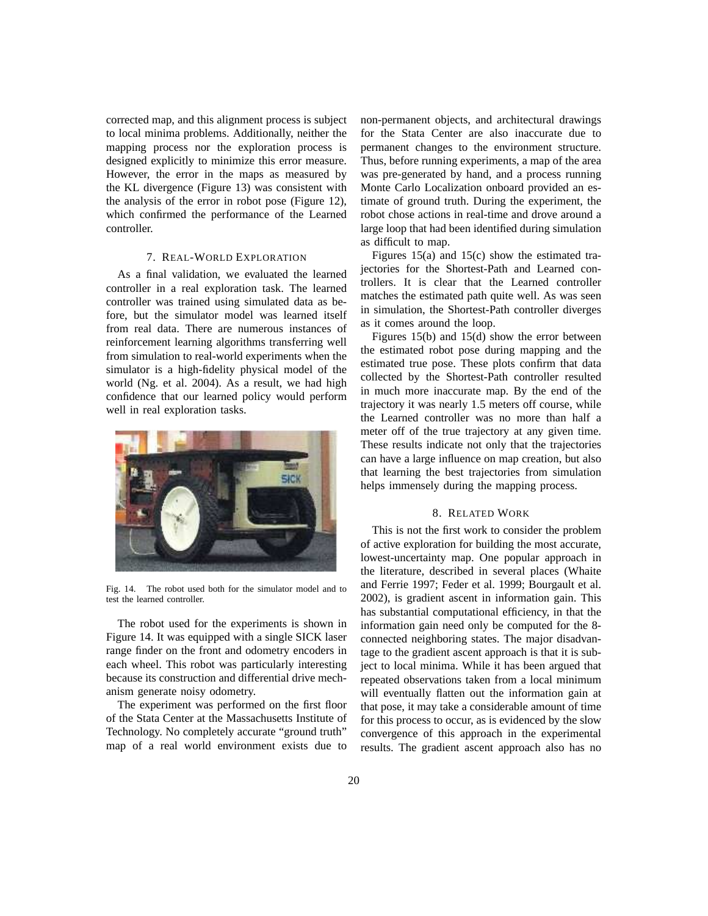corrected map, and this alignment process is subject to local minima problems. Additionally, neither the mapping process nor the exploration process is designed explicitly to minimize this error measure. However, the error in the maps as measured by the KL divergence (Figure 13) was consistent with the analysis of the error in robot pose (Figure 12), which confirmed the performance of the Learned controller.

# 7. REAL-WORLD EXPLORATION

As a final validation, we evaluated the learned controller in a real exploration task. The learned controller was trained using simulated data as before, but the simulator model was learned itself from real data. There are numerous instances of reinforcement learning algorithms transferring well from simulation to real-world experiments when the simulator is a high-fidelity physical model of the world (Ng. et al. 2004). As a result, we had high confidence that our learned policy would perform well in real exploration tasks.



Fig. 14. The robot used both for the simulator model and to test the learned controller.

The robot used for the experiments is shown in Figure 14. It was equipped with a single SICK laser range finder on the front and odometry encoders in each wheel. This robot was particularly interesting because its construction and differential drive mechanism generate noisy odometry.

The experiment was performed on the first floor of the Stata Center at the Massachusetts Institute of Technology. No completely accurate "ground truth" map of a real world environment exists due to non-permanent objects, and architectural drawings for the Stata Center are also inaccurate due to permanent changes to the environment structure. Thus, before running experiments, a map of the area was pre-generated by hand, and a process running Monte Carlo Localization onboard provided an estimate of ground truth. During the experiment, the robot chose actions in real-time and drove around a large loop that had been identified during simulation as difficult to map.

Figures 15(a) and 15(c) show the estimated trajectories for the Shortest-Path and Learned controllers. It is clear that the Learned controller matches the estimated path quite well. As was seen in simulation, the Shortest-Path controller diverges as it comes around the loop.

Figures 15(b) and 15(d) show the error between the estimated robot pose during mapping and the estimated true pose. These plots confirm that data collected by the Shortest-Path controller resulted in much more inaccurate map. By the end of the trajectory it was nearly 1.5 meters off course, while the Learned controller was no more than half a meter off of the true trajectory at any given time. These results indicate not only that the trajectories can have a large influence on map creation, but also that learning the best trajectories from simulation helps immensely during the mapping process.

#### 8. RELATED WORK

This is not the first work to consider the problem of active exploration for building the most accurate, lowest-uncertainty map. One popular approach in the literature, described in several places (Whaite and Ferrie 1997; Feder et al. 1999; Bourgault et al. 2002), is gradient ascent in information gain. This has substantial computational efficiency, in that the information gain need only be computed for the 8 connected neighboring states. The major disadvantage to the gradient ascent approach is that it is subject to local minima. While it has been argued that repeated observations taken from a local minimum will eventually flatten out the information gain at that pose, it may take a considerable amount of time for this process to occur, as is evidenced by the slow convergence of this approach in the experimental results. The gradient ascent approach also has no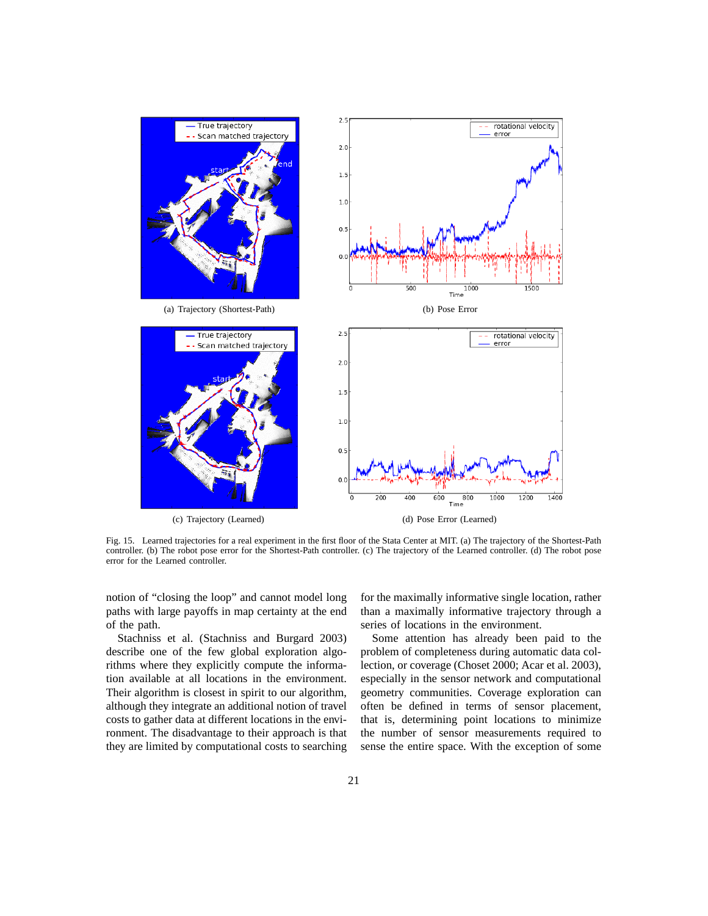

Fig. 15. Learned trajectories for a real experiment in the first floor of the Stata Center at MIT. (a) The trajectory of the Shortest-Path controller. (b) The robot pose error for the Shortest-Path controller. (c) The trajectory of the Learned controller. (d) The robot pose error for the Learned controller.

notion of "closing the loop" and cannot model long paths with large payoffs in map certainty at the end of the path.

Stachniss et al. (Stachniss and Burgard 2003) describe one of the few global exploration algorithms where they explicitly compute the information available at all locations in the environment. Their algorithm is closest in spirit to our algorithm, although they integrate an additional notion of travel costs to gather data at different locations in the environment. The disadvantage to their approach is that they are limited by computational costs to searching for the maximally informative single location, rather than a maximally informative trajectory through a series of locations in the environment.

Some attention has already been paid to the problem of completeness during automatic data collection, or coverage (Choset 2000; Acar et al. 2003), especially in the sensor network and computational geometry communities. Coverage exploration can often be defined in terms of sensor placement, that is, determining point locations to minimize the number of sensor measurements required to sense the entire space. With the exception of some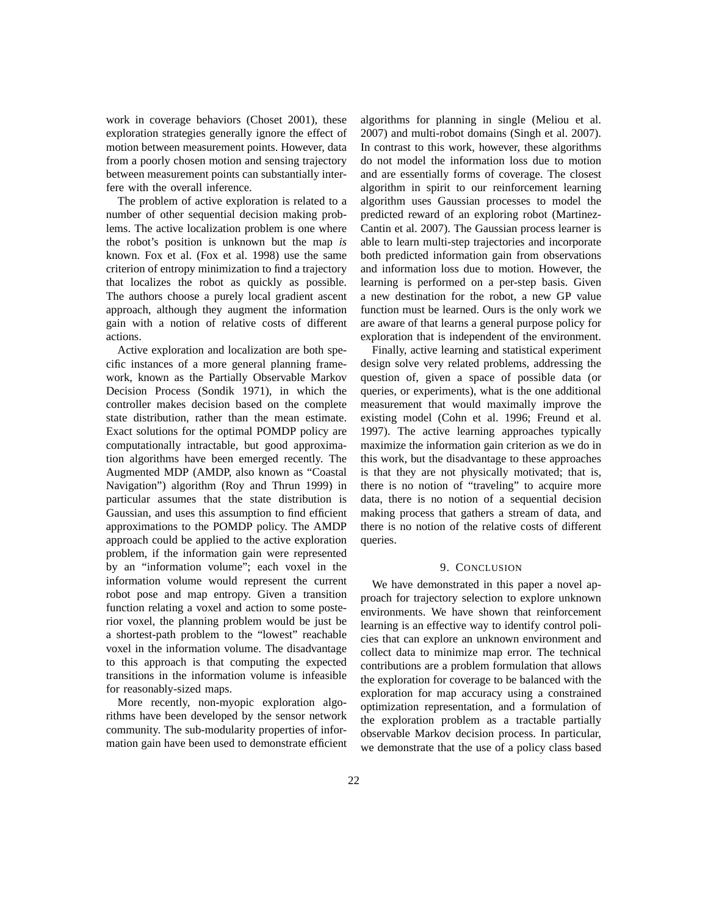work in coverage behaviors (Choset 2001), these exploration strategies generally ignore the effect of motion between measurement points. However, data from a poorly chosen motion and sensing trajectory between measurement points can substantially interfere with the overall inference.

The problem of active exploration is related to a number of other sequential decision making problems. The active localization problem is one where the robot's position is unknown but the map *is* known. Fox et al. (Fox et al. 1998) use the same criterion of entropy minimization to find a trajectory that localizes the robot as quickly as possible. The authors choose a purely local gradient ascent approach, although they augment the information gain with a notion of relative costs of different actions.

Active exploration and localization are both specific instances of a more general planning framework, known as the Partially Observable Markov Decision Process (Sondik 1971), in which the controller makes decision based on the complete state distribution, rather than the mean estimate. Exact solutions for the optimal POMDP policy are computationally intractable, but good approximation algorithms have been emerged recently. The Augmented MDP (AMDP, also known as "Coastal Navigation") algorithm (Roy and Thrun 1999) in particular assumes that the state distribution is Gaussian, and uses this assumption to find efficient approximations to the POMDP policy. The AMDP approach could be applied to the active exploration problem, if the information gain were represented by an "information volume"; each voxel in the information volume would represent the current robot pose and map entropy. Given a transition function relating a voxel and action to some posterior voxel, the planning problem would be just be a shortest-path problem to the "lowest" reachable voxel in the information volume. The disadvantage to this approach is that computing the expected transitions in the information volume is infeasible for reasonably-sized maps.

More recently, non-myopic exploration algorithms have been developed by the sensor network community. The sub-modularity properties of information gain have been used to demonstrate efficient algorithms for planning in single (Meliou et al. 2007) and multi-robot domains (Singh et al. 2007). In contrast to this work, however, these algorithms do not model the information loss due to motion and are essentially forms of coverage. The closest algorithm in spirit to our reinforcement learning algorithm uses Gaussian processes to model the predicted reward of an exploring robot (Martinez-Cantin et al. 2007). The Gaussian process learner is able to learn multi-step trajectories and incorporate both predicted information gain from observations and information loss due to motion. However, the learning is performed on a per-step basis. Given a new destination for the robot, a new GP value function must be learned. Ours is the only work we are aware of that learns a general purpose policy for exploration that is independent of the environment.

Finally, active learning and statistical experiment design solve very related problems, addressing the question of, given a space of possible data (or queries, or experiments), what is the one additional measurement that would maximally improve the existing model (Cohn et al. 1996; Freund et al. 1997). The active learning approaches typically maximize the information gain criterion as we do in this work, but the disadvantage to these approaches is that they are not physically motivated; that is, there is no notion of "traveling" to acquire more data, there is no notion of a sequential decision making process that gathers a stream of data, and there is no notion of the relative costs of different queries.

### 9. CONCLUSION

We have demonstrated in this paper a novel approach for trajectory selection to explore unknown environments. We have shown that reinforcement learning is an effective way to identify control policies that can explore an unknown environment and collect data to minimize map error. The technical contributions are a problem formulation that allows the exploration for coverage to be balanced with the exploration for map accuracy using a constrained optimization representation, and a formulation of the exploration problem as a tractable partially observable Markov decision process. In particular, we demonstrate that the use of a policy class based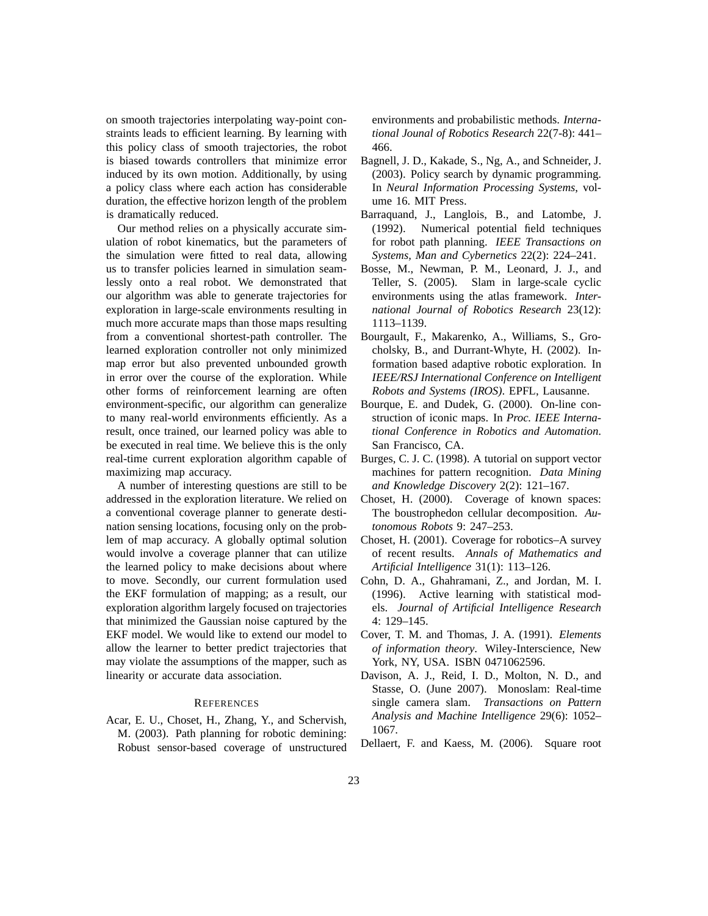on smooth trajectories interpolating way-point constraints leads to efficient learning. By learning with this policy class of smooth trajectories, the robot is biased towards controllers that minimize error induced by its own motion. Additionally, by using a policy class where each action has considerable duration, the effective horizon length of the problem is dramatically reduced.

Our method relies on a physically accurate simulation of robot kinematics, but the parameters of the simulation were fitted to real data, allowing us to transfer policies learned in simulation seamlessly onto a real robot. We demonstrated that our algorithm was able to generate trajectories for exploration in large-scale environments resulting in much more accurate maps than those maps resulting from a conventional shortest-path controller. The learned exploration controller not only minimized map error but also prevented unbounded growth in error over the course of the exploration. While other forms of reinforcement learning are often environment-specific, our algorithm can generalize to many real-world environments efficiently. As a result, once trained, our learned policy was able to be executed in real time. We believe this is the only real-time current exploration algorithm capable of maximizing map accuracy.

A number of interesting questions are still to be addressed in the exploration literature. We relied on a conventional coverage planner to generate destination sensing locations, focusing only on the problem of map accuracy. A globally optimal solution would involve a coverage planner that can utilize the learned policy to make decisions about where to move. Secondly, our current formulation used the EKF formulation of mapping; as a result, our exploration algorithm largely focused on trajectories that minimized the Gaussian noise captured by the EKF model. We would like to extend our model to allow the learner to better predict trajectories that may violate the assumptions of the mapper, such as linearity or accurate data association.

## **REFERENCES**

Acar, E. U., Choset, H., Zhang, Y., and Schervish, M. (2003). Path planning for robotic demining: Robust sensor-based coverage of unstructured environments and probabilistic methods. *International Jounal of Robotics Research* 22(7-8): 441– 466.

- Bagnell, J. D., Kakade, S., Ng, A., and Schneider, J. (2003). Policy search by dynamic programming. In *Neural Information Processing Systems*, volume 16. MIT Press.
- Barraquand, J., Langlois, B., and Latombe, J. (1992). Numerical potential field techniques for robot path planning. *IEEE Transactions on Systems, Man and Cybernetics* 22(2): 224–241.
- Bosse, M., Newman, P. M., Leonard, J. J., and Teller, S. (2005). Slam in large-scale cyclic environments using the atlas framework. *International Journal of Robotics Research* 23(12): 1113–1139.
- Bourgault, F., Makarenko, A., Williams, S., Grocholsky, B., and Durrant-Whyte, H. (2002). Information based adaptive robotic exploration. In *IEEE/RSJ International Conference on Intelligent Robots and Systems (IROS)*. EPFL, Lausanne.
- Bourque, E. and Dudek, G. (2000). On-line construction of iconic maps. In *Proc. IEEE International Conference in Robotics and Automation*. San Francisco, CA.
- Burges, C. J. C. (1998). A tutorial on support vector machines for pattern recognition. *Data Mining and Knowledge Discovery* 2(2): 121–167.
- Choset, H. (2000). Coverage of known spaces: The boustrophedon cellular decomposition. *Autonomous Robots* 9: 247–253.
- Choset, H. (2001). Coverage for robotics–A survey of recent results. *Annals of Mathematics and Artificial Intelligence* 31(1): 113–126.
- Cohn, D. A., Ghahramani, Z., and Jordan, M. I. (1996). Active learning with statistical models. *Journal of Artificial Intelligence Research* 4: 129–145.
- Cover, T. M. and Thomas, J. A. (1991). *Elements of information theory*. Wiley-Interscience, New York, NY, USA. ISBN 0471062596.
- Davison, A. J., Reid, I. D., Molton, N. D., and Stasse, O. (June 2007). Monoslam: Real-time single camera slam. *Transactions on Pattern Analysis and Machine Intelligence* 29(6): 1052– 1067.
- Dellaert, F. and Kaess, M. (2006). Square root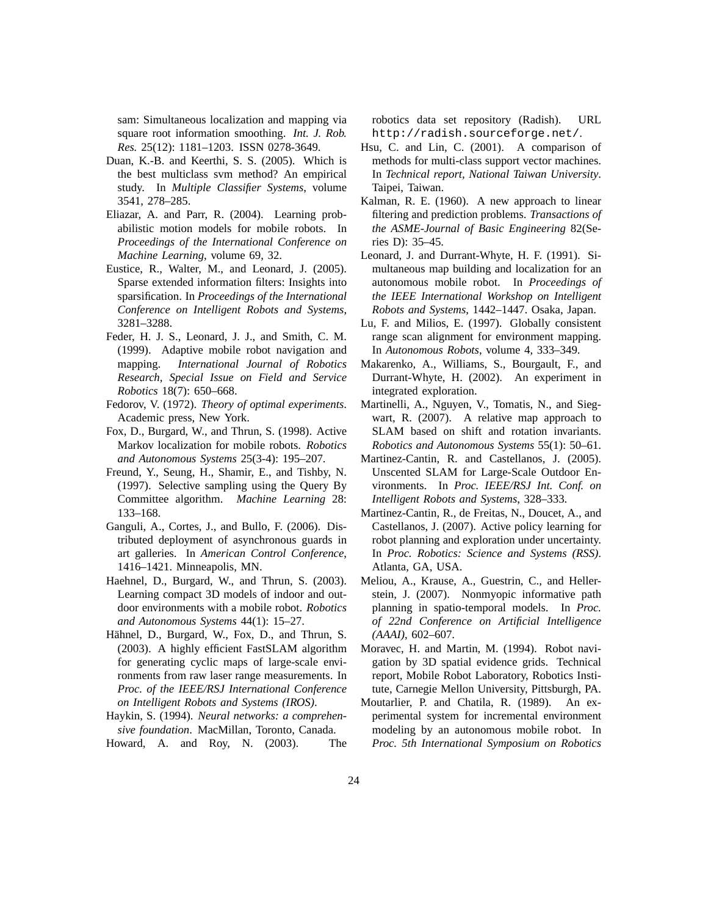sam: Simultaneous localization and mapping via square root information smoothing. *Int. J. Rob. Res.* 25(12): 1181–1203. ISSN 0278-3649.

- Duan, K.-B. and Keerthi, S. S. (2005). Which is the best multiclass svm method? An empirical study. In *Multiple Classifier Systems*, volume 3541, 278–285.
- Eliazar, A. and Parr, R. (2004). Learning probabilistic motion models for mobile robots. In *Proceedings of the International Conference on Machine Learning*, volume 69, 32.
- Eustice, R., Walter, M., and Leonard, J. (2005). Sparse extended information filters: Insights into sparsification. In *Proceedings of the International Conference on Intelligent Robots and Systems*, 3281–3288.
- Feder, H. J. S., Leonard, J. J., and Smith, C. M. (1999). Adaptive mobile robot navigation and mapping. *International Journal of Robotics Research, Special Issue on Field and Service Robotics* 18(7): 650–668.
- Fedorov, V. (1972). *Theory of optimal experiments*. Academic press, New York.
- Fox, D., Burgard, W., and Thrun, S. (1998). Active Markov localization for mobile robots. *Robotics and Autonomous Systems* 25(3-4): 195–207.
- Freund, Y., Seung, H., Shamir, E., and Tishby, N. (1997). Selective sampling using the Query By Committee algorithm. *Machine Learning* 28: 133–168.
- Ganguli, A., Cortes, J., and Bullo, F. (2006). Distributed deployment of asynchronous guards in art galleries. In *American Control Conference*, 1416–1421. Minneapolis, MN.
- Haehnel, D., Burgard, W., and Thrun, S. (2003). Learning compact 3D models of indoor and outdoor environments with a mobile robot. *Robotics and Autonomous Systems* 44(1): 15–27.
- Hähnel, D., Burgard, W., Fox, D., and Thrun, S. (2003). A highly efficient FastSLAM algorithm for generating cyclic maps of large-scale environments from raw laser range measurements. In *Proc. of the IEEE/RSJ International Conference on Intelligent Robots and Systems (IROS)*.
- Haykin, S. (1994). *Neural networks: a comprehensive foundation*. MacMillan, Toronto, Canada.

Howard, A. and Roy, N. (2003). The

robotics data set repository (Radish). URL http://radish.sourceforge.net/.

- Hsu, C. and Lin, C. (2001). A comparison of methods for multi-class support vector machines. In *Technical report, National Taiwan University*. Taipei, Taiwan.
- Kalman, R. E. (1960). A new approach to linear filtering and prediction problems. *Transactions of the ASME-Journal of Basic Engineering* 82(Series D): 35–45.
- Leonard, J. and Durrant-Whyte, H. F. (1991). Simultaneous map building and localization for an autonomous mobile robot. In *Proceedings of the IEEE International Workshop on Intelligent Robots and Systems*, 1442–1447. Osaka, Japan.
- Lu, F. and Milios, E. (1997). Globally consistent range scan alignment for environment mapping. In *Autonomous Robots*, volume 4, 333–349.
- Makarenko, A., Williams, S., Bourgault, F., and Durrant-Whyte, H. (2002). An experiment in integrated exploration.
- Martinelli, A., Nguyen, V., Tomatis, N., and Siegwart, R. (2007). A relative map approach to SLAM based on shift and rotation invariants. *Robotics and Autonomous Systems* 55(1): 50–61.
- Martinez-Cantin, R. and Castellanos, J. (2005). Unscented SLAM for Large-Scale Outdoor Environments. In *Proc. IEEE/RSJ Int. Conf. on Intelligent Robots and Systems*, 328–333.
- Martinez-Cantin, R., de Freitas, N., Doucet, A., and Castellanos, J. (2007). Active policy learning for robot planning and exploration under uncertainty. In *Proc. Robotics: Science and Systems (RSS)*. Atlanta, GA, USA.
- Meliou, A., Krause, A., Guestrin, C., and Hellerstein, J. (2007). Nonmyopic informative path planning in spatio-temporal models. In *Proc. of 22nd Conference on Artificial Intelligence (AAAI)*, 602–607.
- Moravec, H. and Martin, M. (1994). Robot navigation by 3D spatial evidence grids. Technical report, Mobile Robot Laboratory, Robotics Institute, Carnegie Mellon University, Pittsburgh, PA.
- Moutarlier, P. and Chatila, R. (1989). An experimental system for incremental environment modeling by an autonomous mobile robot. In *Proc. 5th International Symposium on Robotics*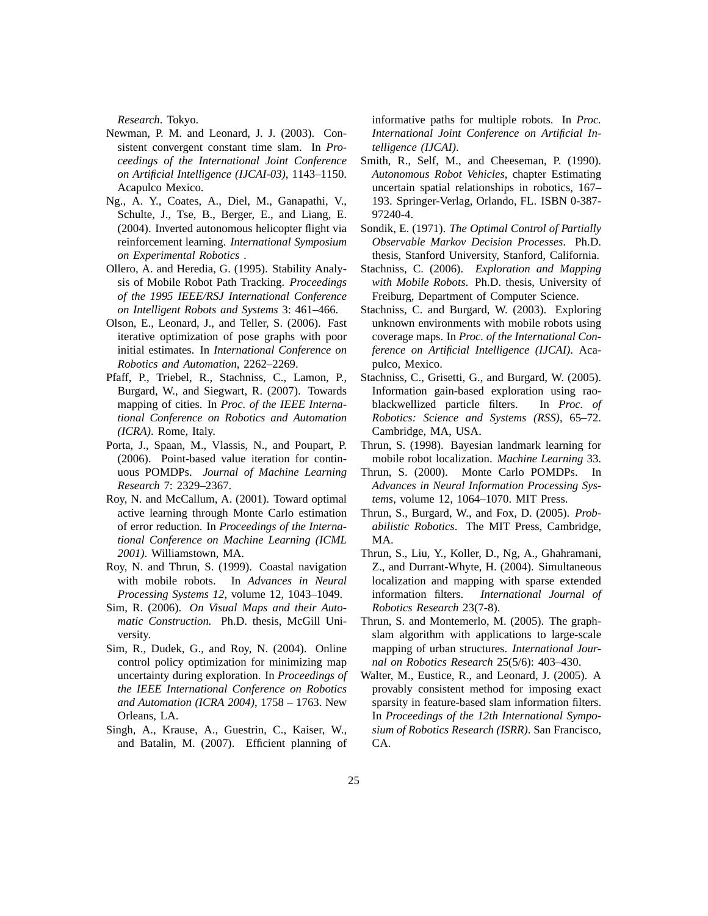*Research*. Tokyo.

- Newman, P. M. and Leonard, J. J. (2003). Consistent convergent constant time slam. In *Proceedings of the International Joint Conference on Artificial Intelligence (IJCAI-03)*, 1143–1150. Acapulco Mexico.
- Ng., A. Y., Coates, A., Diel, M., Ganapathi, V., Schulte, J., Tse, B., Berger, E., and Liang, E. (2004). Inverted autonomous helicopter flight via reinforcement learning. *International Symposium on Experimental Robotics* .
- Ollero, A. and Heredia, G. (1995). Stability Analysis of Mobile Robot Path Tracking. *Proceedings of the 1995 IEEE/RSJ International Conference on Intelligent Robots and Systems* 3: 461–466.
- Olson, E., Leonard, J., and Teller, S. (2006). Fast iterative optimization of pose graphs with poor initial estimates. In *International Conference on Robotics and Automation*, 2262–2269.
- Pfaff, P., Triebel, R., Stachniss, C., Lamon, P., Burgard, W., and Siegwart, R. (2007). Towards mapping of cities. In *Proc. of the IEEE International Conference on Robotics and Automation (ICRA)*. Rome, Italy.
- Porta, J., Spaan, M., Vlassis, N., and Poupart, P. (2006). Point-based value iteration for continuous POMDPs. *Journal of Machine Learning Research* 7: 2329–2367.
- Roy, N. and McCallum, A. (2001). Toward optimal active learning through Monte Carlo estimation of error reduction. In *Proceedings of the International Conference on Machine Learning (ICML 2001)*. Williamstown, MA.
- Roy, N. and Thrun, S. (1999). Coastal navigation with mobile robots. In *Advances in Neural Processing Systems 12*, volume 12, 1043–1049.
- Sim, R. (2006). *On Visual Maps and their Automatic Construction.* Ph.D. thesis, McGill University.
- Sim, R., Dudek, G., and Roy, N. (2004). Online control policy optimization for minimizing map uncertainty during exploration. In *Proceedings of the IEEE International Conference on Robotics and Automation (ICRA 2004)*, 1758 – 1763. New Orleans, LA.
- Singh, A., Krause, A., Guestrin, C., Kaiser, W., and Batalin, M. (2007). Efficient planning of

informative paths for multiple robots. In *Proc. International Joint Conference on Artificial Intelligence (IJCAI)*.

- Smith, R., Self, M., and Cheeseman, P. (1990). *Autonomous Robot Vehicles*, chapter Estimating uncertain spatial relationships in robotics, 167– 193. Springer-Verlag, Orlando, FL. ISBN 0-387- 97240-4.
- Sondik, E. (1971). *The Optimal Control of Partially Observable Markov Decision Processes*. Ph.D. thesis, Stanford University, Stanford, California.
- Stachniss, C. (2006). *Exploration and Mapping with Mobile Robots*. Ph.D. thesis, University of Freiburg, Department of Computer Science.
- Stachniss, C. and Burgard, W. (2003). Exploring unknown environments with mobile robots using coverage maps. In *Proc. of the International Conference on Artificial Intelligence (IJCAI)*. Acapulco, Mexico.
- Stachniss, C., Grisetti, G., and Burgard, W. (2005). Information gain-based exploration using raoblackwellized particle filters. In *Proc. of Robotics: Science and Systems (RSS)*, 65–72. Cambridge, MA, USA.
- Thrun, S. (1998). Bayesian landmark learning for mobile robot localization. *Machine Learning* 33.
- Thrun, S. (2000). Monte Carlo POMDPs. In *Advances in Neural Information Processing Systems*, volume 12, 1064–1070. MIT Press.
- Thrun, S., Burgard, W., and Fox, D. (2005). *Probabilistic Robotics*. The MIT Press, Cambridge, MA.
- Thrun, S., Liu, Y., Koller, D., Ng, A., Ghahramani, Z., and Durrant-Whyte, H. (2004). Simultaneous localization and mapping with sparse extended information filters. *International Journal of Robotics Research* 23(7-8).
- Thrun, S. and Montemerlo, M. (2005). The graphslam algorithm with applications to large-scale mapping of urban structures. *International Journal on Robotics Research* 25(5/6): 403–430.
- Walter, M., Eustice, R., and Leonard, J. (2005). A provably consistent method for imposing exact sparsity in feature-based slam information filters. In *Proceedings of the 12th International Symposium of Robotics Research (ISRR)*. San Francisco, CA.